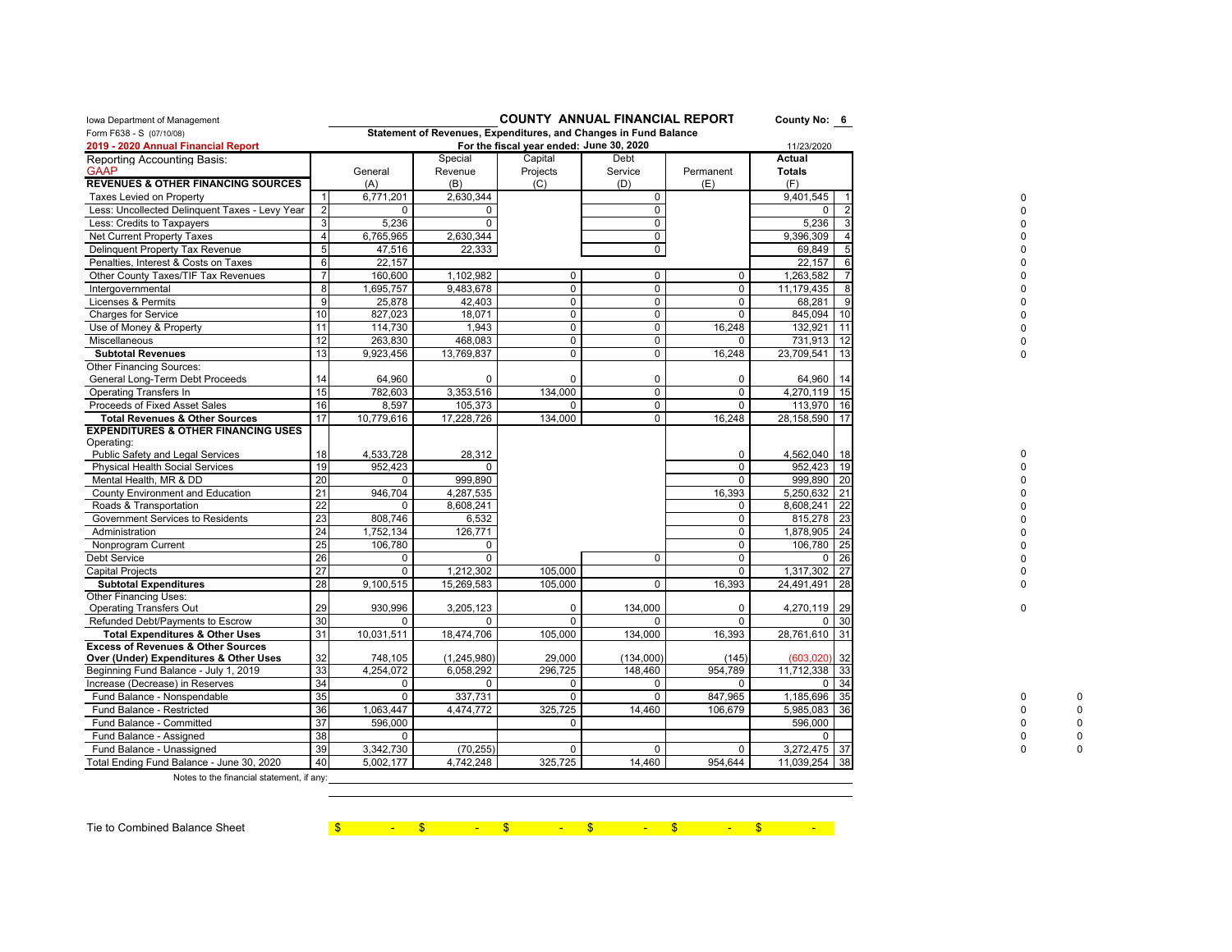| Iowa Department of Management                                                           |                 |             |                                                                  | <b>COUNTY ANNUAL FINANCIAL REPORT</b>    |             |             | County No: 6  |    |   |  |
|-----------------------------------------------------------------------------------------|-----------------|-------------|------------------------------------------------------------------|------------------------------------------|-------------|-------------|---------------|----|---|--|
| Form F638 - S (07/10/08)                                                                |                 |             | Statement of Revenues, Expenditures, and Changes in Fund Balance |                                          |             |             |               |    |   |  |
| 2019 - 2020 Annual Financial Report                                                     |                 |             |                                                                  | For the fiscal year ended: June 30, 2020 |             |             | 11/23/2020    |    |   |  |
| Reporting Accounting Basis:                                                             |                 |             | Special                                                          | Capital                                  | Debt        |             | Actual        |    |   |  |
| <b>GAAP</b>                                                                             |                 | General     | Revenue                                                          | Projects                                 | Service     | Permanent   | <b>Totals</b> |    |   |  |
| <b>REVENUES &amp; OTHER FINANCING SOURCES</b>                                           |                 | (A)         | (B)                                                              | (C)                                      | (D)         | (E)         | (F)           |    |   |  |
| <b>Taxes Levied on Property</b>                                                         | $\mathbf{1}$    | 6,771,201   | 2,630,344                                                        |                                          | 0           |             | 9,401,545     |    |   |  |
| Less: Uncollected Delinquent Taxes - Levy Year                                          | $\overline{2}$  | $\Omega$    | $\Omega$                                                         |                                          | $\mathbf 0$ |             |               |    |   |  |
| Less: Credits to Taxpayers                                                              | 3               | 5,236       | $\mathbf 0$                                                      |                                          | 0           |             | 5,236         |    |   |  |
| Net Current Property Taxes                                                              | $\overline{4}$  | 6,765,965   | 2,630,344                                                        |                                          | 0           |             | 9,396,309     |    |   |  |
| Delinquent Property Tax Revenue                                                         | 5               | 47,516      | 22,333                                                           |                                          | 0           |             | 69,849        |    |   |  |
| Penalties, Interest & Costs on Taxes                                                    | 6               | 22,157      |                                                                  |                                          |             |             | 22,157        |    |   |  |
| Other County Taxes/TIF Tax Revenues                                                     | $\overline{7}$  | 160,600     | 1,102,982                                                        | $\mathsf 0$                              | 0           | 0           | 1,263,582     |    |   |  |
| Intergovernmental                                                                       | 8               | 1,695,757   | 9,483,678                                                        | $\mathbf 0$                              | $\mathbf 0$ | $\mathbf 0$ | 11,179,435    |    |   |  |
| Licenses & Permits                                                                      | 9               | 25,878      | 42,403                                                           | $\mathbf 0$                              | 0           | 0           | 68,281        |    |   |  |
| <b>Charges for Service</b>                                                              | 10              | 827.023     | 18,071                                                           | $\mathbf 0$                              | $\mathbf 0$ | $\mathbf 0$ | 845.094       |    |   |  |
| Use of Money & Property                                                                 | 11              | 114,730     | 1,943                                                            | $\mathsf{O}$                             | 0           | 16,248      | 132,921       |    |   |  |
| Miscellaneous                                                                           | 12              | 263,830     | 468,083                                                          | 0                                        | 0           | 0           | 731,913       |    |   |  |
| <b>Subtotal Revenues</b>                                                                | 13              | 9,923,456   | 13,769,837                                                       | $\mathbf 0$                              | 0           | 16,248      | 23,709,541    |    |   |  |
| Other Financing Sources:                                                                |                 |             |                                                                  |                                          |             |             |               |    |   |  |
| General Long-Term Debt Proceeds                                                         | 14              | 64,960      | $\Omega$                                                         | $\Omega$                                 | 0           | 0           | 64,960        |    |   |  |
| <b>Operating Transfers In</b>                                                           | 15              | 782,603     | 3,353,516                                                        | 134,000                                  | $\mathbf 0$ | 0           | 4,270,119     | 15 |   |  |
| Proceeds of Fixed Asset Sales                                                           | 16              | 8,597       | 105,373                                                          | 0                                        | $\mathbf 0$ | $\Omega$    | 113,970       |    |   |  |
| <b>Total Revenues &amp; Other Sources</b>                                               | 17              | 10,779,616  | 17,228,726                                                       | 134,000                                  | 0           | 16,248      | 28, 158, 590  |    |   |  |
| <b>EXPENDITURES &amp; OTHER FINANCING USES</b>                                          |                 |             |                                                                  |                                          |             |             |               |    |   |  |
| Operating:                                                                              |                 |             |                                                                  |                                          |             |             |               |    |   |  |
| Public Safety and Legal Services                                                        | 18              | 4,533,728   | 28,312                                                           |                                          |             | $\mathbf 0$ | 4,562,040     |    |   |  |
| Physical Health Social Services                                                         | 19              | 952,423     |                                                                  |                                          |             | $\Omega$    | 952,423       | 19 |   |  |
| Mental Health, MR & DD                                                                  | 20              |             | 999.890                                                          |                                          |             | 0           | 999.890       | 20 |   |  |
| <b>County Environment and Education</b>                                                 | $\overline{21}$ | 946,704     | 4,287,535                                                        |                                          |             | 16,393      | 5,250,632     | 21 |   |  |
| Roads & Transportation                                                                  | 22              | 0           | 8,608,241                                                        |                                          |             | $\mathbf 0$ | 8,608,241     |    |   |  |
| Government Services to Residents                                                        | 23              | 808.746     | 6,532                                                            |                                          |             | $\Omega$    | 815.278       | 23 |   |  |
| Administration                                                                          | 24              | 1,752,134   | 126,771                                                          |                                          |             | $\mathbf 0$ | 1,878,905     | 24 |   |  |
| Nonprogram Current                                                                      | 25              | 106,780     | 0                                                                |                                          |             | $\mathbf 0$ | 106,780       | 25 |   |  |
| <b>Debt Service</b>                                                                     | 26              | $\mathbf 0$ | $\mathbf 0$                                                      |                                          | $\mathbf 0$ | $\Omega$    | $\Omega$      | 26 |   |  |
| <b>Capital Projects</b>                                                                 | 27              | $\Omega$    | 1,212,302                                                        | 105,000                                  |             | $\Omega$    | 1,317,302     |    |   |  |
| <b>Subtotal Expenditures</b>                                                            | 28              | 9,100,515   | 15,269,583                                                       | 105,000                                  | $\mathbf 0$ | 16,393      | 24,491,491    | 28 |   |  |
| Other Financing Uses:                                                                   |                 |             |                                                                  |                                          |             |             |               |    |   |  |
| <b>Operating Transfers Out</b>                                                          | 29              | 930,996     | 3,205,123                                                        | $\Omega$                                 | 134,000     | $\Omega$    | 4,270,119     | 29 | ŋ |  |
| Refunded Debt/Payments to Escrow                                                        | 30              | $\Omega$    | 0                                                                | $\Omega$                                 |             | $\Omega$    | $\Omega$      | 30 |   |  |
| <b>Total Expenditures &amp; Other Uses</b>                                              | 31              | 10,031,511  | 18,474,706                                                       | 105,000                                  | 134,000     | 16,393      | 28,761,610    | 31 |   |  |
| <b>Excess of Revenues &amp; Other Sources</b><br>Over (Under) Expenditures & Other Uses | 32              | 748,105     | (1,245,980)                                                      | 29,000                                   | (134,000)   | (145)       | (603.020)     | 32 |   |  |
| Beginning Fund Balance - July 1, 2019                                                   | 33              | 4,254,072   | 6,058,292                                                        | 296,725                                  | 148,460     | 954,789     | 11,712,338    | 33 |   |  |
| Increase (Decrease) in Reserves                                                         | 34              | $\mathbf 0$ | 0                                                                | $\mathbf 0$                              | 0           | $\mathbf 0$ | $\mathbf 0$   | 34 |   |  |
| Fund Balance - Nonspendable                                                             | 35              | $\mathbf 0$ | 337,731                                                          | $\mathbf 0$                              | 0           | 847,965     | 1,185,696     | 35 |   |  |
| Fund Balance - Restricted                                                               | 36              | 1,063,447   | 4,474,772                                                        | 325,725                                  | 14,460      | 106,679     | 5,985,083     | 36 |   |  |
| Fund Balance - Committed                                                                | 37              | 596,000     |                                                                  | $\Omega$                                 |             |             | 596,000       |    |   |  |
| Fund Balance - Assigned                                                                 | 38              | $\mathbf 0$ |                                                                  |                                          |             |             | $\Omega$      |    |   |  |
| Fund Balance - Unassigned                                                               | 39              | 3,342,730   | (70, 255)                                                        | 0                                        | U           | $\mathbf 0$ | 3,272,475 37  |    |   |  |
| Total Ending Fund Balance - June 30, 2020                                               | 40              | 5,002,177   | 4,742,248                                                        | 325,725                                  | 14,460      | 954,644     | 11,039,254    | 38 |   |  |
|                                                                                         |                 |             |                                                                  |                                          |             |             |               |    |   |  |

Notes to the financial statement, if any:

Tie to Combined Balance Sheet **\$** 5 - \$ - \$ - \$ - \$ - \$ - \$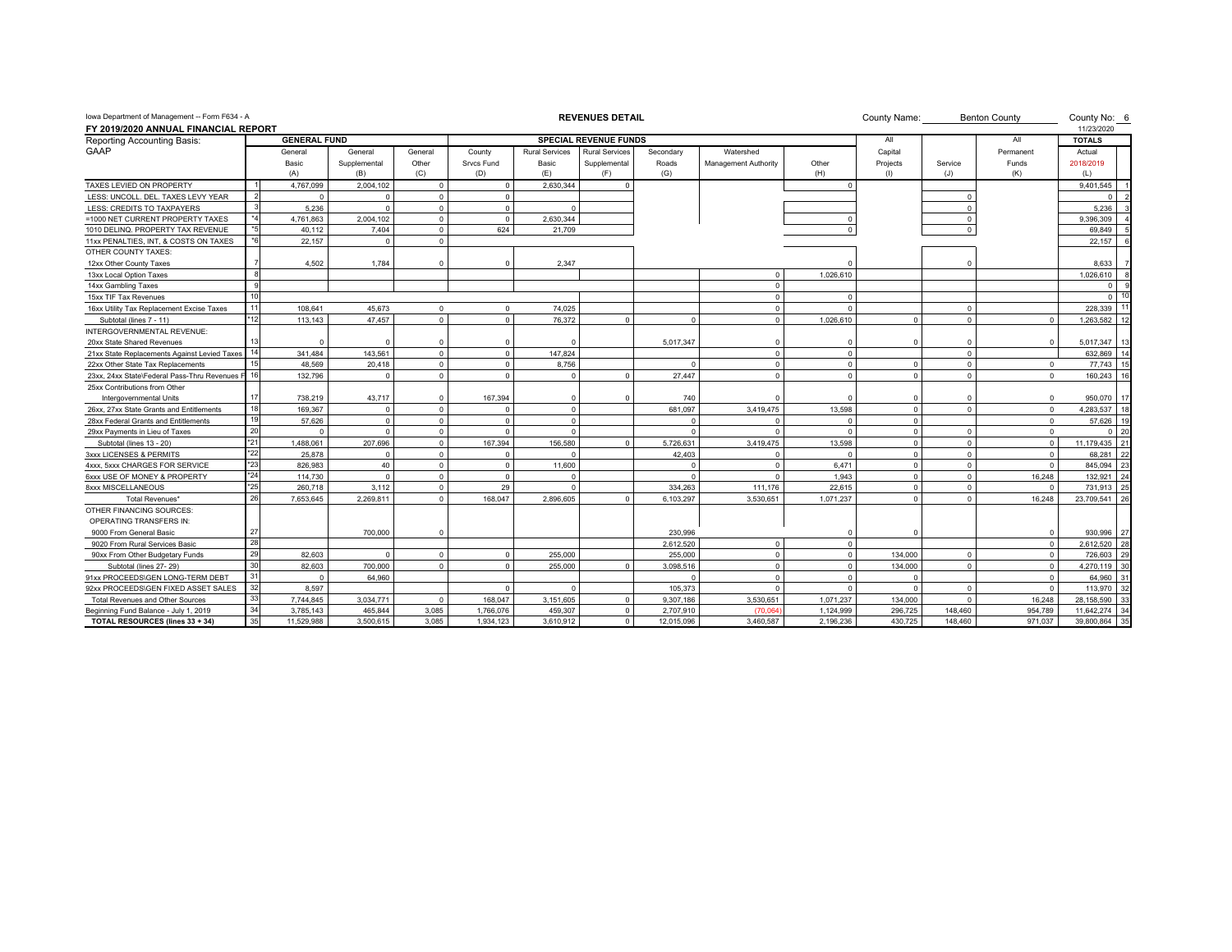| Iowa Department of Management -- Form F634 - A                      |              |                     |                         |                  |                      |                       | <b>REVENUES DETAIL</b>       |                    |                                   |             | County Name:        |          | <b>Benton County</b> | County No: 6                |
|---------------------------------------------------------------------|--------------|---------------------|-------------------------|------------------|----------------------|-----------------------|------------------------------|--------------------|-----------------------------------|-------------|---------------------|----------|----------------------|-----------------------------|
| FY 2019/2020 ANNUAL FINANCIAL REPORT<br>Reporting Accounting Basis: |              | <b>GENERAL FUND</b> |                         |                  |                      |                       | <b>SPECIAL REVENUE FUNDS</b> |                    |                                   |             | All                 |          | All                  | 11/23/2020<br><b>TOTALS</b> |
| GAAP                                                                |              |                     |                         |                  |                      | <b>Rural Services</b> | <b>Rural Services</b>        |                    |                                   |             |                     |          |                      |                             |
|                                                                     |              | General<br>Basic    | General<br>Supplemental | General<br>Other | County<br>Srvcs Fund | Basic                 | Supplemental                 | Secondary<br>Roads | Watershed<br>Management Authority | Other       | Capital<br>Projects | Service  | Permanent<br>Funds   | Actual<br>2018/2019         |
|                                                                     |              | (A)                 | (B)                     | (C)              | (D)                  | (E)                   | (F)                          | (G)                |                                   | (H)         | (1)                 | (J)      | (K)                  | (L)                         |
| TAXES LEVIED ON PROPERTY                                            |              | 4.767.099           | 2,004,102               | $\Omega$         | $\Omega$             | 2,630,344             |                              |                    |                                   | $\Omega$    |                     |          |                      | 9,401,545                   |
| LESS: UNCOLL, DEL, TAXES LEVY YEAR                                  |              |                     | $\Omega$                | $\Omega$         | $\Omega$             |                       |                              |                    |                                   |             |                     |          |                      |                             |
| LESS: CREDITS TO TAXPAYERS                                          |              | 5.236               | $\Omega$                | $\Omega$         | $\Omega$             | $\Omega$              |                              |                    |                                   |             |                     |          |                      | 5.236                       |
| =1000 NET CURRENT PROPERTY TAXES                                    | $*_{4}$      | 4.761.863           | 2,004,102               | $\Omega$         | $\overline{0}$       | 2.630.344             |                              |                    |                                   |             |                     |          |                      | 9.396.309                   |
| 1010 DELINQ. PROPERTY TAX REVENUE                                   | $*5$         | 40,112              | 7,404                   | $\mathbf{0}$     | 624                  | 21,709                |                              |                    |                                   | $\Omega$    |                     |          |                      | 69,849                      |
| 11xx PENALTIES, INT, & COSTS ON TAXES                               | $*6$         | 22,157              | $\Omega$                | $\Omega$         |                      |                       |                              |                    |                                   |             |                     |          |                      | 22.157                      |
| OTHER COUNTY TAXES:                                                 |              |                     |                         |                  |                      |                       |                              |                    |                                   |             |                     |          |                      |                             |
| 12xx Other County Taxes                                             |              | 4,502               | 1.784                   | $\Omega$         | $\Omega$             | 2,347                 |                              |                    |                                   |             |                     | $\Omega$ |                      | 8.633                       |
| 13xx Local Option Taxes                                             |              |                     |                         |                  |                      |                       |                              |                    | $\Omega$                          | 1,026,610   |                     |          |                      | 1,026,610                   |
| 14xx Gambling Taxes                                                 | $\alpha$     |                     |                         |                  |                      |                       |                              |                    | $\Omega$                          |             |                     |          |                      | 0                           |
| 15xx TIF Tax Revenues                                               | 10           |                     |                         |                  |                      |                       |                              |                    | $\Omega$                          | $\Omega$    |                     |          |                      | 10<br>$\Omega$              |
| 16xx Utility Tax Replacement Excise Taxes                           | 11           | 108.641             | 45.673                  | $\Omega$         | $\Omega$             | 74.025                |                              |                    | $\Omega$                          | $\Omega$    |                     | $\Omega$ |                      | 228,339                     |
| Subtotal (lines 7 - 11)                                             | *12          | 113.143             | 47.457                  | $\Omega$         | $\Omega$             | 76.372                | $\Omega$                     | $\Omega$           | $\Omega$                          | 1.026.610   | $\Omega$            | $\Omega$ | $\Omega$             | 1,263,582                   |
| INTERGOVERNMENTAL REVENUE:                                          |              |                     |                         |                  |                      |                       |                              |                    |                                   |             |                     |          |                      |                             |
| 20xx State Shared Revenues                                          |              |                     |                         | $\Omega$         |                      |                       |                              | 5,017,347          | $\Omega$                          | $\Omega$    |                     | $\Omega$ |                      | 5,017,347                   |
| 21xx State Replacements Against Levied Taxes                        | 14           | 341,484             | 143,561                 | $\Omega$         | $\Omega$             | 147,824               |                              |                    | $\Omega$                          | $\Omega$    |                     | $\Omega$ |                      | 632.869                     |
| 22xx Other State Tax Replacements                                   | 15           | 48.569              | 20.418                  | $\Omega$         | $\Omega$             | 8.756                 |                              | $\Omega$           | $\Omega$                          | $\Omega$    | $\Omega$            | $\Omega$ | $\Omega$             | 77.743<br>15                |
| 23xx, 24xx State\Federal Pass-Thru Revenues                         | 16           | 132,796             | $\Omega$                | $\Omega$         | $\Omega$             | $\Omega$              | $\Omega$                     | 27,447             | $\Omega$                          | $\Omega$    | $\Omega$            | $\Omega$ | $\Omega$             | 160,243                     |
| 25xx Contributions from Other                                       |              |                     |                         |                  |                      |                       |                              |                    |                                   |             |                     |          |                      |                             |
| Intergovernmental Units                                             | 17           | 738,219             | 43,717                  | $\Omega$         | 167,394              | $\Omega$              |                              | 740                | $\Omega$                          | $\Omega$    |                     | $\Omega$ | $\Omega$             | 950,070                     |
| 26xx, 27xx State Grants and Entitlements                            | 18           | 169.367             | $\Omega$                | $\Omega$         | $\Omega$             | $\Omega$              |                              | 681.097            | 3.419.475                         | 13.598      | $\Omega$            | $\Omega$ | $\Omega$             | 4.283.537                   |
| 28xx Federal Grants and Entitlements                                | 19           | 57.626              | $\Omega$                | $\Omega$         | $\Omega$             | $\Omega$              |                              | $\Omega$           | $\Omega$                          | $\Omega$    | $\Omega$            |          | $\Omega$             | 57.626<br>19                |
| 29xx Payments in Lieu of Taxes                                      | 20           | $\Omega$            | $\Omega$                | $\Omega$         | $\Omega$             | $\Omega$              |                              | $\Omega$           | $\Omega$                          | $\Omega$    | $\Omega$            | $\Omega$ | $\Omega$             | 20<br>$\Omega$              |
| Subtotal (lines 13 - 20)                                            | $*21$        | 1.488.061           | 207.696                 | $\Omega$         | 167.394              | 156.580               |                              | 5,726,631          | 3,419,475                         | 13.598      | $\Omega$            | $\Omega$ | $\Omega$             | 11.179.435<br>$\mathcal{P}$ |
| 3xxx LICENSES & PERMITS                                             | $*22$        | 25,878              | $\Omega$                | $\Omega$         | $\Omega$             |                       |                              | 42,403             | $\Omega$                          | $\Omega$    |                     | $\Omega$ |                      | 68,281                      |
| 4xxx, 5xxx CHARGES FOR SERVICE                                      | $*23$        | 826.983             | 40                      | $\mathbf{0}$     | $\overline{0}$       | 11,600                |                              | $\Omega$           | $\Omega$                          | 6.471       | $\Omega$            | $\Omega$ | $\Omega$             | 845.094                     |
| 6xxx USE OF MONEY & PROPERTY                                        | $^{\star}24$ | 114.730             | $\Omega$                | $\Omega$         | $\Omega$             | $\Omega$              |                              | $\Omega$           | $\Omega$                          | 1.943       | $\Omega$            | $\Omega$ | 16,248               | 132,921                     |
| 8xxx MISCELLANEOUS                                                  | $*25$        | 260.718             | 3.112                   | $\Omega$         | 29                   | $\Omega$              |                              | 334.263            | 111.176                           | 22.615      | $\Omega$            | $\Omega$ | $\Omega$             | 731.913                     |
| Total Revenues'                                                     | 26           | 7,653,645           | 2,269,811               | $\Omega$         | 168,047              | 2,896,605             |                              | 6,103,297          | 3,530,651                         | 1,071,237   |                     | $\Omega$ | 16,248               | 23,709,541                  |
| OTHER FINANCING SOURCES:                                            |              |                     |                         |                  |                      |                       |                              |                    |                                   |             |                     |          |                      |                             |
| <b>OPERATING TRANSFERS IN:</b>                                      |              |                     |                         |                  |                      |                       |                              |                    |                                   |             |                     |          |                      |                             |
| 9000 From General Basic                                             | 27           |                     | 700,000                 | $\Omega$         |                      |                       |                              | 230,996            |                                   | $\Omega$    |                     |          |                      | 930.996<br>27               |
| 9020 From Rural Services Basic                                      | 28           |                     |                         |                  |                      |                       |                              | 2,612,520          | $\Omega$                          | $\mathbf 0$ |                     |          | $\Omega$             | 28<br>2,612,520             |
| 90xx From Other Budgetary Funds                                     | 29           | 82,603              | $\Omega$                | $\Omega$         | $\Omega$             | 255,000               |                              | 255,000            | $\Omega$                          | $\mathbf 0$ | 134.000             | $\Omega$ |                      | 29<br>726,603               |
| Subtotal (lines 27-29)                                              | 30           | 82,603              | 700,000                 | $\mathbf{0}$     | $\overline{0}$       | 255,000               | $\Omega$                     | 3,098,516          | $\circ$                           | $\circ$     | 134,000             | $\Omega$ | $\Omega$             | 30<br>4,270,119             |
| 91xx PROCEEDS\GEN LONG-TERM DEBT                                    | 31           | $\Omega$            | 64.960                  |                  |                      |                       |                              | $\Omega$           | $\Omega$                          | $\Omega$    | $\Omega$            |          | $\Omega$             | 64,960                      |
| 92xx PROCEEDS\GEN FIXED ASSET SALES                                 | 32           | 8.597               |                         |                  | $\Omega$             | $\Omega$              |                              | 105.373            | $\Omega$                          | $\Omega$    | $\Omega$            | $\Omega$ | $\Omega$             | 113,970                     |
| Total Revenues and Other Sources                                    | 33           | 7.744.845           | 3,034,771               | $\Omega$         | 168,047              | 3,151,605             | $\Omega$                     | 9,307,186          | 3,530,651                         | 1,071,237   | 134,000             | $\Omega$ | 16.248               | 28,158,590                  |
| Beginning Fund Balance - July 1, 2019                               | 34           | 3.785.143           | 465.844                 | 3.085            | 1.766.076            | 459.307               | $\Omega$                     | 2.707.910          | $(70.06 -$                        | 1.124.999   | 296.725             | 148.460  | 954.789              | 11.642.274                  |
| TOTAL RESOURCES (lines 33 + 34)                                     | 35           | 11,529,988          | 3,500,615               | 3,085            | 1,934,123            | 3,610,912             | $^{\circ}$                   | 12,015,096         | 3,460,587                         | 2,196,236   | 430,725             | 148,460  | 971,037              | 35<br>39,800,864            |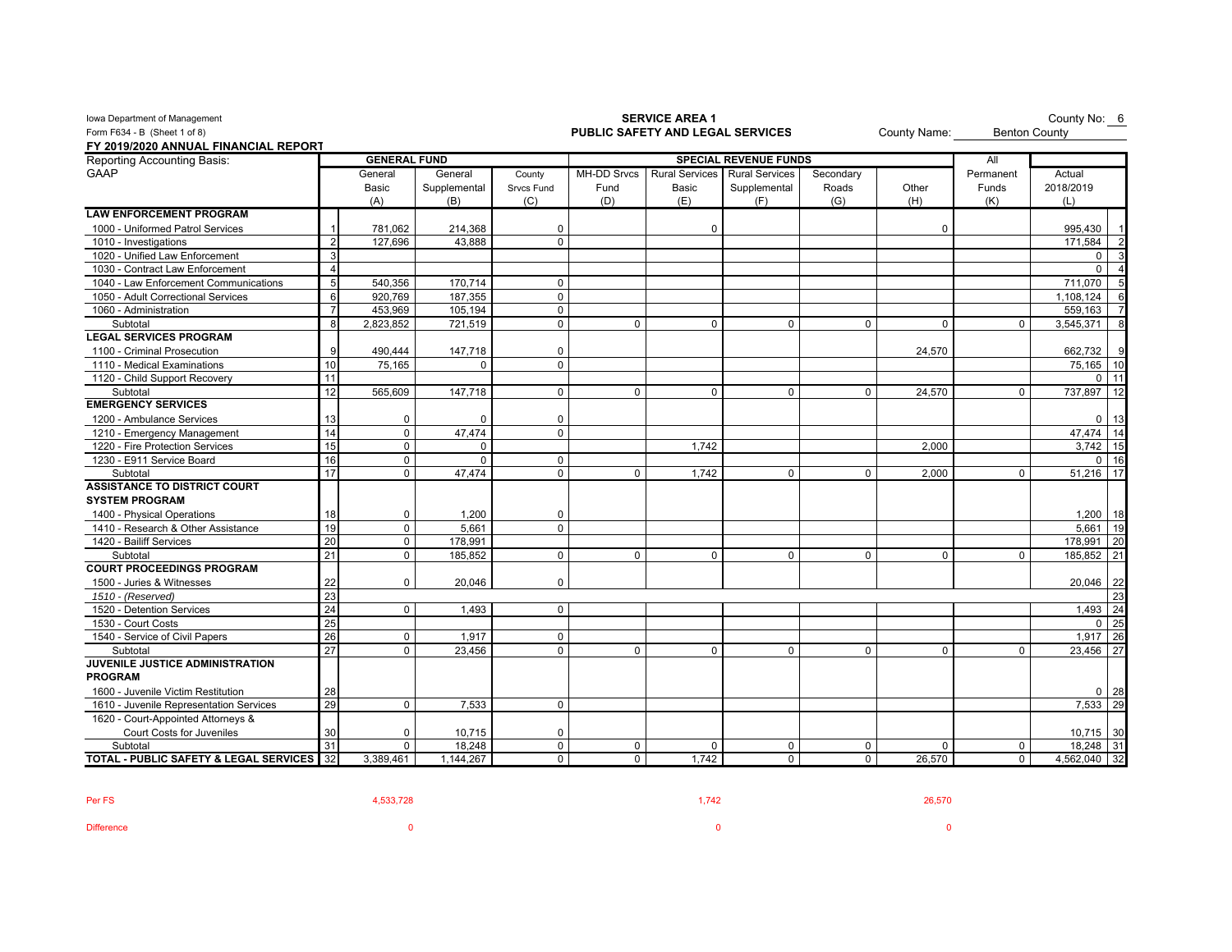| Iowa Department of Management                        |                 |                     |              | County No: 6<br><b>Benton County</b> |             |                       |                              |             |             |             |                   |
|------------------------------------------------------|-----------------|---------------------|--------------|--------------------------------------|-------------|-----------------------|------------------------------|-------------|-------------|-------------|-------------------|
| Form F634 - B (Sheet 1 of 8)                         |                 |                     |              | PUBLIC SAFETY AND LEGAL SERVICES     |             |                       | County Name:                 |             |             |             |                   |
| FY 2019/2020 ANNUAL FINANCIAL REPORT                 |                 |                     |              |                                      |             |                       |                              |             |             |             |                   |
| Reporting Accounting Basis:                          |                 | <b>GENERAL FUND</b> |              |                                      |             |                       | <b>SPECIAL REVENUE FUNDS</b> |             |             | All         |                   |
| <b>GAAP</b>                                          |                 | General             | General      | County                               | MH-DD Srvcs | <b>Rural Services</b> | <b>Rural Services</b>        | Secondary   |             | Permanent   | Actual            |
|                                                      |                 | Basic               | Supplemental | Srvcs Fund                           | Fund        | <b>Basic</b>          | Supplemental                 | Roads       | Other       | Funds       | 2018/2019         |
|                                                      |                 | (A)                 | (B)          | (C)                                  | (D)         | (E)                   | (F)                          | (G)         | (H)         | (K)         | (L)               |
| <b>LAW ENFORCEMENT PROGRAM</b>                       |                 |                     |              |                                      |             |                       |                              |             |             |             |                   |
| 1000 - Uniformed Patrol Services                     |                 | 781,062             | 214,368      | $\Omega$                             |             | $\Omega$              |                              |             | $\Omega$    |             | 995,430           |
| 1010 - Investigations                                | $\mathfrak{p}$  | 127,696             | 43.888       | $\Omega$                             |             |                       |                              |             |             |             | 171.584           |
| 1020 - Unified Law Enforcement                       | 3               |                     |              |                                      |             |                       |                              |             |             |             | 0                 |
| 1030 - Contract Law Enforcement                      | $\Delta$        |                     |              |                                      |             |                       |                              |             |             |             | $\Omega$          |
| 1040 - Law Enforcement Communications                | $5\overline{5}$ | 540,356             | 170,714      | $\mathbf 0$                          |             |                       |                              |             |             |             | 711.070           |
| 1050 - Adult Correctional Services                   | 6               | 920,769             | 187,355      | $\mathbf 0$                          |             |                       |                              |             |             |             | 1,108,124         |
| 1060 - Administration                                | $\overline{7}$  | 453,969             | 105,194      | $\mathbf 0$                          |             |                       |                              |             |             |             | 559,163           |
| Subtotal                                             | 8               | 2,823,852           | 721,519      | $\mathbf 0$                          | $\Omega$    | $\Omega$              | $\Omega$                     | $\Omega$    | $\Omega$    | $\Omega$    | 3,545,371         |
| <b>LEGAL SERVICES PROGRAM</b>                        |                 |                     |              |                                      |             |                       |                              |             |             |             |                   |
| 1100 - Criminal Prosecution                          |                 | 490,444             | 147,718      | $\mathbf 0$                          |             |                       |                              |             | 24,570      |             | 662,732           |
| 1110 - Medical Examinations                          | 10              | 75.165              | $\Omega$     | $\Omega$                             |             |                       |                              |             |             |             | 75,165            |
| 1120 - Child Support Recovery                        | 11              |                     |              |                                      |             |                       |                              |             |             |             | $\mathbf 0$       |
| Subtotal                                             | 12              | 565,609             | 147,718      | $\mathbf 0$                          | $\mathbf 0$ | 0                     | $\mathbf 0$                  | $\mathbf 0$ | 24,570      | $\mathbf 0$ | 737,897<br>12     |
| <b>EMERGENCY SERVICES</b>                            |                 |                     |              |                                      |             |                       |                              |             |             |             |                   |
| 1200 - Ambulance Services                            | 13              | 0                   | $\Omega$     | $\mathbf 0$                          |             |                       |                              |             |             |             | $\mathbf 0$<br>13 |
| 1210 - Emergency Management                          | 14              | $\mathsf 0$         | 47.474       | $\mathbf 0$                          |             |                       |                              |             |             |             | 47,474            |
| 1220 - Fire Protection Services                      | 15              | $\mathbf 0$         | $\mathbf 0$  |                                      |             | 1,742                 |                              |             | 2,000       |             | 3,742<br>15       |
| 1230 - E911 Service Board                            | 16              | 0                   | $\Omega$     | $\mathbf 0$                          |             |                       |                              |             |             |             | $\Omega$          |
| Subtotal                                             | 17              | $\mathbf 0$         | 47,474       | $\mathbf 0$                          | $\Omega$    | 1,742                 | $\mathbf 0$                  | $\mathbf 0$ | 2,000       | $\mathbf 0$ | 51,216<br>17      |
| <b>ASSISTANCE TO DISTRICT COURT</b>                  |                 |                     |              |                                      |             |                       |                              |             |             |             |                   |
| <b>SYSTEM PROGRAM</b>                                |                 |                     |              |                                      |             |                       |                              |             |             |             |                   |
| 1400 - Physical Operations                           | 18              | $\mathbf 0$         | 1,200        | $\mathbf 0$                          |             |                       |                              |             |             |             | 1,200<br>18       |
| 1410 - Research & Other Assistance                   | 19              | $\mathbf 0$         | 5.661        | $\Omega$                             |             |                       |                              |             |             |             | 5.661<br>19       |
| 1420 - Bailiff Services                              | 20              | 0                   | 178,991      |                                      |             |                       |                              |             |             |             | 178,991<br>20     |
| Subtotal                                             | 21              | $\mathbf 0$         | 185,852      | $\mathbf 0$                          | $\Omega$    | 0                     | $\Omega$                     | $\mathbf 0$ | $\mathbf 0$ | $\Omega$    | 185,852<br>21     |
| <b>COURT PROCEEDINGS PROGRAM</b>                     |                 |                     |              |                                      |             |                       |                              |             |             |             |                   |
| 1500 - Juries & Witnesses                            | 22              | 0                   | 20,046       | 0                                    |             |                       |                              |             |             |             | 20,046<br>22      |
| 1510 - (Reserved)                                    | 23              |                     |              |                                      |             |                       |                              |             |             |             | 23                |
| 1520 - Detention Services                            | 24              | $\Omega$            | 1.493        | $\Omega$                             |             |                       |                              |             |             |             | 1,493<br>24       |
| 1530 - Court Costs                                   | 25              |                     |              |                                      |             |                       |                              |             |             |             | 25<br>$\mathbf 0$ |
| 1540 - Service of Civil Papers                       | 26              | $\mathbf 0$         | 1,917        | $\mathbf 0$                          |             |                       |                              |             |             |             | 1,917<br>26       |
| Subtotal                                             | 27              | $\mathbf 0$         | 23.456       | $\mathbf 0$                          | 0           | $\Omega$              | $\Omega$                     | $\mathbf 0$ | $\mathbf 0$ | $\Omega$    | 23.456<br>27      |
| JUVENILE JUSTICE ADMINISTRATION                      |                 |                     |              |                                      |             |                       |                              |             |             |             |                   |
| <b>PROGRAM</b>                                       |                 |                     |              |                                      |             |                       |                              |             |             |             |                   |
| 1600 - Juvenile Victim Restitution                   | 28              |                     |              |                                      |             |                       |                              |             |             |             | 0 <sub>28</sub>   |
| 1610 - Juvenile Representation Services              | 29              | $\mathbf 0$         | 7,533        | $\mathbf 0$                          |             |                       |                              |             |             |             | 7,533<br>29       |
| 1620 - Court-Appointed Attorneys &                   |                 |                     |              |                                      |             |                       |                              |             |             |             |                   |
| Court Costs for Juveniles                            | 30              | $\mathbf 0$         | 10,715       | $\Omega$                             |             |                       |                              |             |             |             | 10,715 30         |
| Subtotal                                             | 31              | $\mathbf 0$         | 18,248       | $\mathbf 0$                          | 0           | 0                     | 0                            | 0           | $\mathbf 0$ | $\mathbf 0$ | 18,248 31         |
| <b>TOTAL - PUBLIC SAFETY &amp; LEGAL SERVICES</b> 32 |                 | 3,389,461           | 1,144,267    | $\mathbf 0$                          | 0           | 1,742                 | $\mathbf 0$                  | $\mathbf 0$ | 26,570      | $\mathbf 0$ | 4,562,040 32      |

| Per FS            | 4,533,728 | 1,742 | 26,570 |
|-------------------|-----------|-------|--------|
| <b>Difference</b> |           |       |        |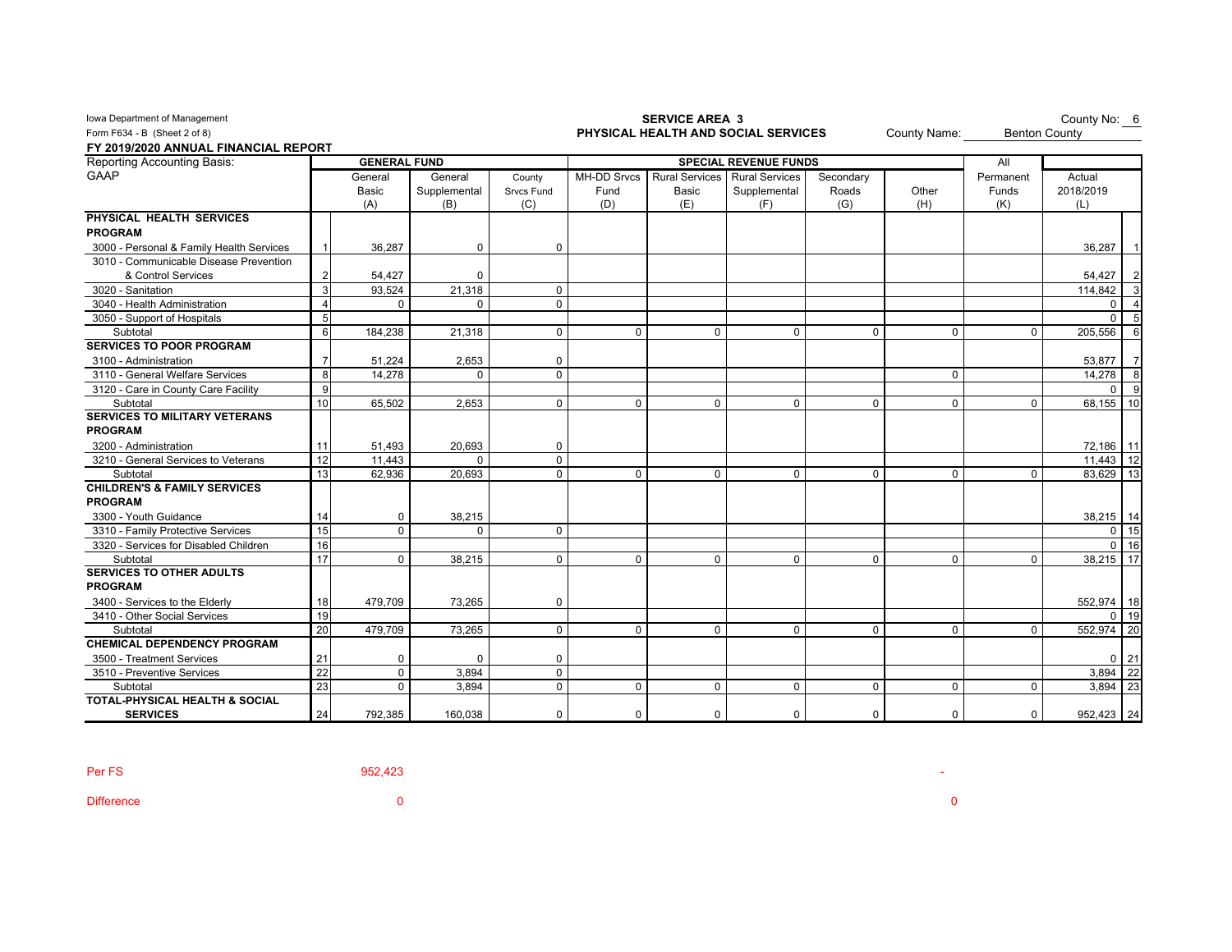| Iowa Department of Management             |    |                     |              |                   |                    | <b>SERVICE AREA 3</b>               |                              | County No: 6<br><b>Benton County</b> |              |             |                   |
|-------------------------------------------|----|---------------------|--------------|-------------------|--------------------|-------------------------------------|------------------------------|--------------------------------------|--------------|-------------|-------------------|
| Form F634 - B (Sheet 2 of 8)              |    |                     |              |                   |                    | PHYSICAL HEALTH AND SOCIAL SERVICES | County Name:                 |                                      |              |             |                   |
| FY 2019/2020 ANNUAL FINANCIAL REPORT      |    |                     |              |                   |                    |                                     |                              |                                      |              |             |                   |
| <b>Reporting Accounting Basis:</b>        |    | <b>GENERAL FUND</b> |              |                   |                    |                                     | <b>SPECIAL REVENUE FUNDS</b> |                                      |              | All         |                   |
| <b>GAAP</b>                               |    | General             | General      | County            | <b>MH-DD Srvcs</b> | <b>Rural Services</b>               | <b>Rural Services</b>        | Secondary                            |              | Permanent   | Actual            |
|                                           |    | Basic               | Supplemental | <b>Srvcs Fund</b> | Fund               | Basic                               | Supplemental                 | Roads                                | Other        | Funds       | 2018/2019         |
|                                           |    | (A)                 | (B)          | (C)               | (D)                | (E)                                 | (F)                          | (G)                                  | (H)          | (K)         | (L)               |
| PHYSICAL HEALTH SERVICES                  |    |                     |              |                   |                    |                                     |                              |                                      |              |             |                   |
| <b>PROGRAM</b>                            |    |                     |              |                   |                    |                                     |                              |                                      |              |             |                   |
| 3000 - Personal & Family Health Services  |    | 36,287              | 0            | 0                 |                    |                                     |                              |                                      |              |             | 36,287            |
| 3010 - Communicable Disease Prevention    |    |                     |              |                   |                    |                                     |                              |                                      |              |             |                   |
| & Control Services                        |    | 54,427              | $\Omega$     |                   |                    |                                     |                              |                                      |              |             | 54,427            |
| 3020 - Sanitation                         | 3  | 93,524              | 21,318       | 0                 |                    |                                     |                              |                                      |              |             | 114,842           |
| 3040 - Health Administration              |    | $\Omega$            | $\Omega$     | $\Omega$          |                    |                                     |                              |                                      |              |             | $\Omega$          |
| 3050 - Support of Hospitals               | 5  |                     |              |                   |                    |                                     |                              |                                      |              |             | $\Omega$          |
| Subtotal                                  | 6  | 184,238             | 21,318       | $\mathbf 0$       | $\Omega$           | $\mathbf 0$                         | $\Omega$                     | $\Omega$                             | $\mathbf{0}$ | $\mathbf 0$ | 205,556           |
| <b>SERVICES TO POOR PROGRAM</b>           |    |                     |              |                   |                    |                                     |                              |                                      |              |             |                   |
| 3100 - Administration                     |    | 51,224              | 2,653        | 0                 |                    |                                     |                              |                                      |              |             | 53,877            |
| 3110 - General Welfare Services           | 8  | 14,278              | 0            | 0                 |                    |                                     |                              |                                      | 0            |             | 14,278            |
| 3120 - Care in County Care Facility       | 9  |                     |              |                   |                    |                                     |                              |                                      |              |             | $\Omega$          |
| Subtotal                                  | 10 | 65,502              | 2,653        | 0                 | $\mathbf 0$        | $\mathbf 0$                         | $\mathbf 0$                  | $\Omega$                             | $\mathbf 0$  | $\Omega$    | 68,155<br>10      |
| <b>SERVICES TO MILITARY VETERANS</b>      |    |                     |              |                   |                    |                                     |                              |                                      |              |             |                   |
| <b>PROGRAM</b>                            |    |                     |              |                   |                    |                                     |                              |                                      |              |             |                   |
| 3200 - Administration                     | 11 | 51,493              | 20,693       | 0                 |                    |                                     |                              |                                      |              |             | 72,186 11         |
| 3210 - General Services to Veterans       | 12 | 11.443              | $\Omega$     | 0                 |                    |                                     |                              |                                      |              |             | 12<br>11.443      |
| Subtotal                                  | 13 | 62,936              | 20,693       | $\Omega$          | $\mathbf 0$        | $\mathbf 0$                         | $\mathbf 0$                  | $\Omega$                             | $\mathbf 0$  | $\Omega$    | 83,629<br>13      |
| <b>CHILDREN'S &amp; FAMILY SERVICES</b>   |    |                     |              |                   |                    |                                     |                              |                                      |              |             |                   |
| <b>PROGRAM</b>                            |    |                     |              |                   |                    |                                     |                              |                                      |              |             |                   |
| 3300 - Youth Guidance                     | 14 | 0                   | 38,215       |                   |                    |                                     |                              |                                      |              |             | 38,215<br>14      |
| 3310 - Family Protective Services         | 15 | $\mathbf 0$         | $\Omega$     | 0                 |                    |                                     |                              |                                      |              |             | 15<br>0           |
| 3320 - Services for Disabled Children     | 16 |                     |              |                   |                    |                                     |                              |                                      |              |             | $\mathbf 0$<br>16 |
| Subtotal                                  | 17 | $\Omega$            | 38,215       | $\Omega$          | $\Omega$           | $\Omega$                            | $\Omega$                     | $\Omega$                             | $\mathbf{0}$ | $\Omega$    | 38,215<br>17      |
| <b>SERVICES TO OTHER ADULTS</b>           |    |                     |              |                   |                    |                                     |                              |                                      |              |             |                   |
| <b>PROGRAM</b>                            |    |                     |              |                   |                    |                                     |                              |                                      |              |             |                   |
| 3400 - Services to the Elderly            | 18 | 479,709             | 73,265       | 0                 |                    |                                     |                              |                                      |              |             | 552,974   18      |
| 3410 - Other Social Services              | 19 |                     |              |                   |                    |                                     |                              |                                      |              |             | 19<br>0           |
| Subtotal                                  | 20 | 479,709             | 73,265       | 0                 | 0                  | $\mathbf 0$                         | $\mathbf 0$                  | $\Omega$                             | $\mathbf 0$  | $\Omega$    | 20<br>552,974     |
| <b>CHEMICAL DEPENDENCY PROGRAM</b>        |    |                     |              |                   |                    |                                     |                              |                                      |              |             |                   |
| 3500 - Treatment Services                 | 21 | 0                   | $\Omega$     | 0                 |                    |                                     |                              |                                      |              |             | $0$ 21            |
| 3510 - Preventive Services                | 22 | $\mathbf 0$         | 3,894        | 0                 |                    |                                     |                              |                                      |              |             | 3,894<br>22       |
| Subtotal                                  | 23 | $\mathbf 0$         | 3.894        | 0                 | 0                  | $\mathbf 0$                         | $\mathbf 0$                  | $\mathbf 0$                          | $\mathbf 0$  | $\mathbf 0$ | 23<br>3,894       |
| <b>TOTAL-PHYSICAL HEALTH &amp; SOCIAL</b> |    |                     |              |                   |                    |                                     |                              |                                      |              |             |                   |
| <b>SERVICES</b>                           | 24 | 792,385             | 160.038      | $\Omega$          | $\Omega$           | $\Omega$                            | $\Omega$                     | $\Omega$                             | $\Omega$     | 0           | 952,423 24        |

Difference 0 0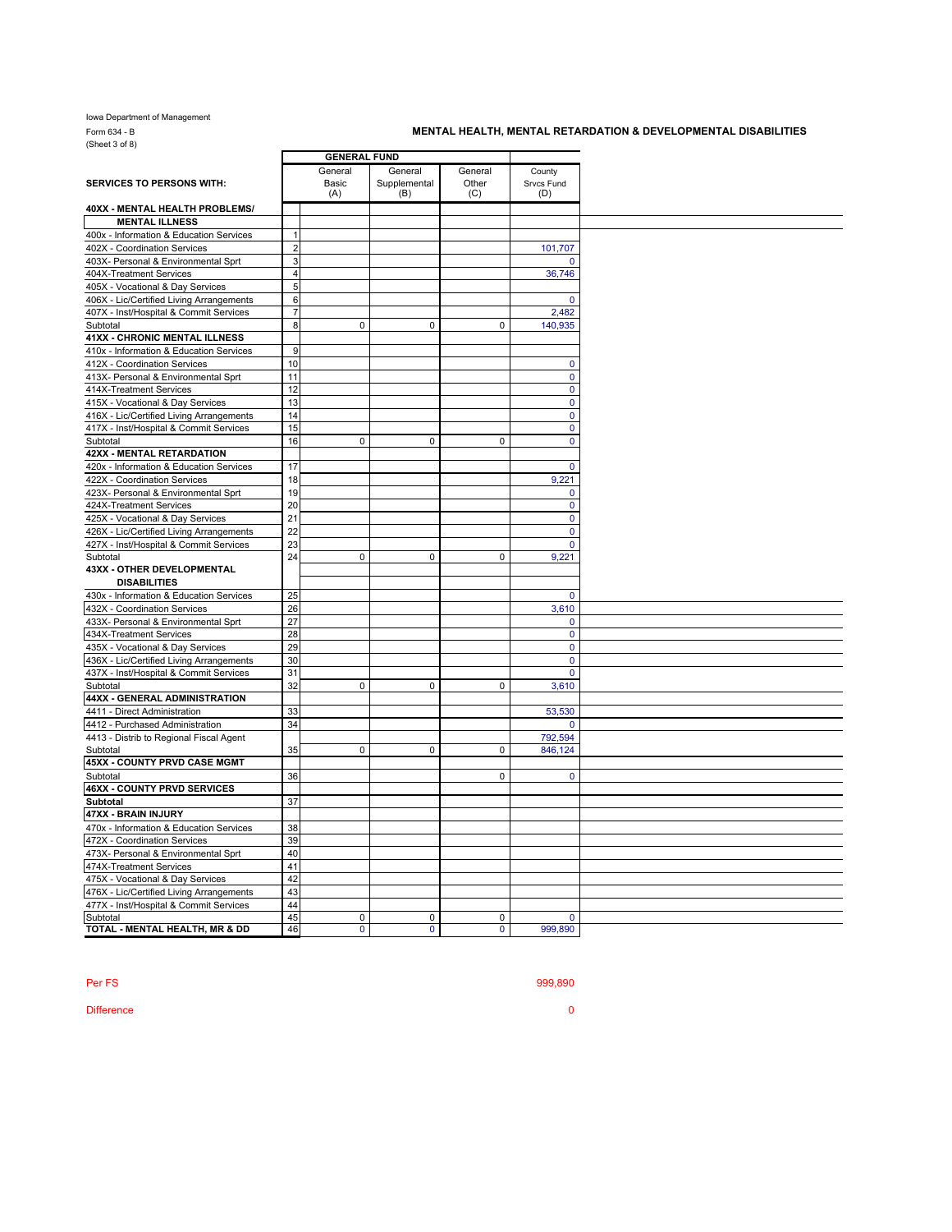Iowa Department of Management Form 634 - B<br>(Sheet 3 of 8)

## **MENTAL HEALTH, MENTAL RETARDATION & DEVELOPMENTAL DISABILITIES**

|                                          |                | <b>GENERAL FUND</b> |              |              |              |
|------------------------------------------|----------------|---------------------|--------------|--------------|--------------|
|                                          |                | General             | General      | General      | County       |
| <b>SERVICES TO PERSONS WITH:</b>         |                | Basic               | Supplemental | Other        | Srvcs Fund   |
|                                          |                | (A)                 | (B)          | (C)          | (D)          |
| 40XX - MENTAL HEALTH PROBLEMS/           |                |                     |              |              |              |
| <b>MENTAL ILLNESS</b>                    |                |                     |              |              |              |
| 400x - Information & Education Services  | $\mathbf{1}$   |                     |              |              |              |
| 402X - Coordination Services             | $\overline{2}$ |                     |              |              | 101,707      |
| 403X- Personal & Environmental Sprt      | $\mathbf{3}$   |                     |              |              |              |
| 404X-Treatment Services                  | $\overline{4}$ |                     |              |              | 36,746       |
| 405X - Vocational & Day Services         | 5 <sub>5</sub> |                     |              |              |              |
| 406X - Lic/Certified Living Arrangements | 6              |                     |              |              | $\Omega$     |
| 407X - Inst/Hospital & Commit Services   | $\overline{7}$ |                     |              |              | 2,482        |
| Subtotal                                 | $\mathbf{8}$   | 0                   | $\mathbf 0$  | 0            | 140,935      |
| <b>41XX - CHRONIC MENTAL ILLNESS</b>     |                |                     |              |              |              |
| 410x - Information & Education Services  | 9              |                     |              |              |              |
| 412X - Coordination Services             | 10             |                     |              |              | $\mathbf{0}$ |
| 413X- Personal & Environmental Sprt      | 11             |                     |              |              | $\mathbf 0$  |
| 414X-Treatment Services                  | 12             |                     |              |              | $\mathbf 0$  |
| 415X - Vocational & Day Services         | 13             |                     |              |              | $\mathbf 0$  |
| 416X - Lic/Certified Living Arrangements | 14             |                     |              |              | $\mathbf 0$  |
| 417X - Inst/Hospital & Commit Services   | 15             |                     |              |              | $\mathbf 0$  |
|                                          | 16             | 0                   | $\mathsf 0$  | 0            |              |
| Subtotal                                 |                |                     |              |              | $\mathbf 0$  |
| <b>42XX - MENTAL RETARDATION</b>         |                |                     |              |              |              |
| 420x - Information & Education Services  | 17             |                     |              |              | $\mathbf{0}$ |
| 422X - Coordination Services             | 18             |                     |              |              | 9.221        |
| 423X- Personal & Environmental Sprt      | 19             |                     |              |              | $\mathbf 0$  |
| 424X-Treatment Services                  | 20             |                     |              |              | $\mathbf 0$  |
| 425X - Vocational & Day Services         | 21             |                     |              |              | $\mathbf 0$  |
| 426X - Lic/Certified Living Arrangements | 22             |                     |              |              | $\mathbf 0$  |
| 427X - Inst/Hospital & Commit Services   | 23             |                     |              |              | $\mathbf{0}$ |
| Subtotal                                 | 24             | 0                   | $\mathbf 0$  | $\mathbf{0}$ | 9,221        |
| <b>43XX - OTHER DEVELOPMENTAL</b>        |                |                     |              |              |              |
| <b>DISABILITIES</b>                      |                |                     |              |              |              |
| 430x - Information & Education Services  | 25             |                     |              |              | $\mathbf 0$  |
| 432X - Coordination Services             | 26             |                     |              |              | 3,610        |
| 433X- Personal & Environmental Sprt      | 27             |                     |              |              | $\mathbf{0}$ |
| 434X-Treatment Services                  | 28             |                     |              |              | $\mathbf 0$  |
| 435X - Vocational & Day Services         | 29             |                     |              |              | $\mathbf 0$  |
| 436X - Lic/Certified Living Arrangements | 30             |                     |              |              | $\mathbf{0}$ |
| 437X - Inst/Hospital & Commit Services   | 31             |                     |              |              | $\mathbf 0$  |
| Subtotal                                 | 32             | $\mathbf 0$         | $\mathbf 0$  | $\mathbf 0$  | 3,610        |
| 44XX - GENERAL ADMINISTRATION            |                |                     |              |              |              |
| 4411 - Direct Administration             | 33             |                     |              |              | 53,530       |
|                                          | 34             |                     |              |              |              |
| 4412 - Purchased Administration          |                |                     |              |              | 0            |
| 4413 - Distrib to Regional Fiscal Agent  |                |                     |              |              | 792,594      |
| Subtotal                                 | 35             | 0                   | $\mathbf 0$  | 0            | 846,124      |
| 45XX - COUNTY PRVD CASE MGMT             |                |                     |              |              |              |
| Subtotal                                 | 36             |                     |              | $\Omega$     | $\mathbf{0}$ |
| 46XX - COUNTY PRVD SERVICES              |                |                     |              |              |              |
| Subtotal                                 | 37             |                     |              |              |              |
| 47XX - BRAIN INJURY                      |                |                     |              |              |              |
| 470x - Information & Education Services  | 38             |                     |              |              |              |
| 472X - Coordination Services             | 39             |                     |              |              |              |
| 473X- Personal & Environmental Sprt      | 40             |                     |              |              |              |
| 474X-Treatment Services                  | 41             |                     |              |              |              |
| 475X - Vocational & Day Services         | 42             |                     |              |              |              |
| 476X - Lic/Certified Living Arrangements | 43             |                     |              |              |              |
| 477X - Inst/Hospital & Commit Services   | 44             |                     |              |              |              |
| Subtotal                                 | 45             | 0                   | $\mathbf 0$  | 0            | $\mathbf 0$  |
| TOTAL - MENTAL HEALTH, MR & DD           | 46             | $\mathbf{0}$        | $\mathbf{0}$ | $\mathbf{0}$ | 999,890      |
|                                          |                |                     |              |              |              |

Per FS 999,890

Difference **0**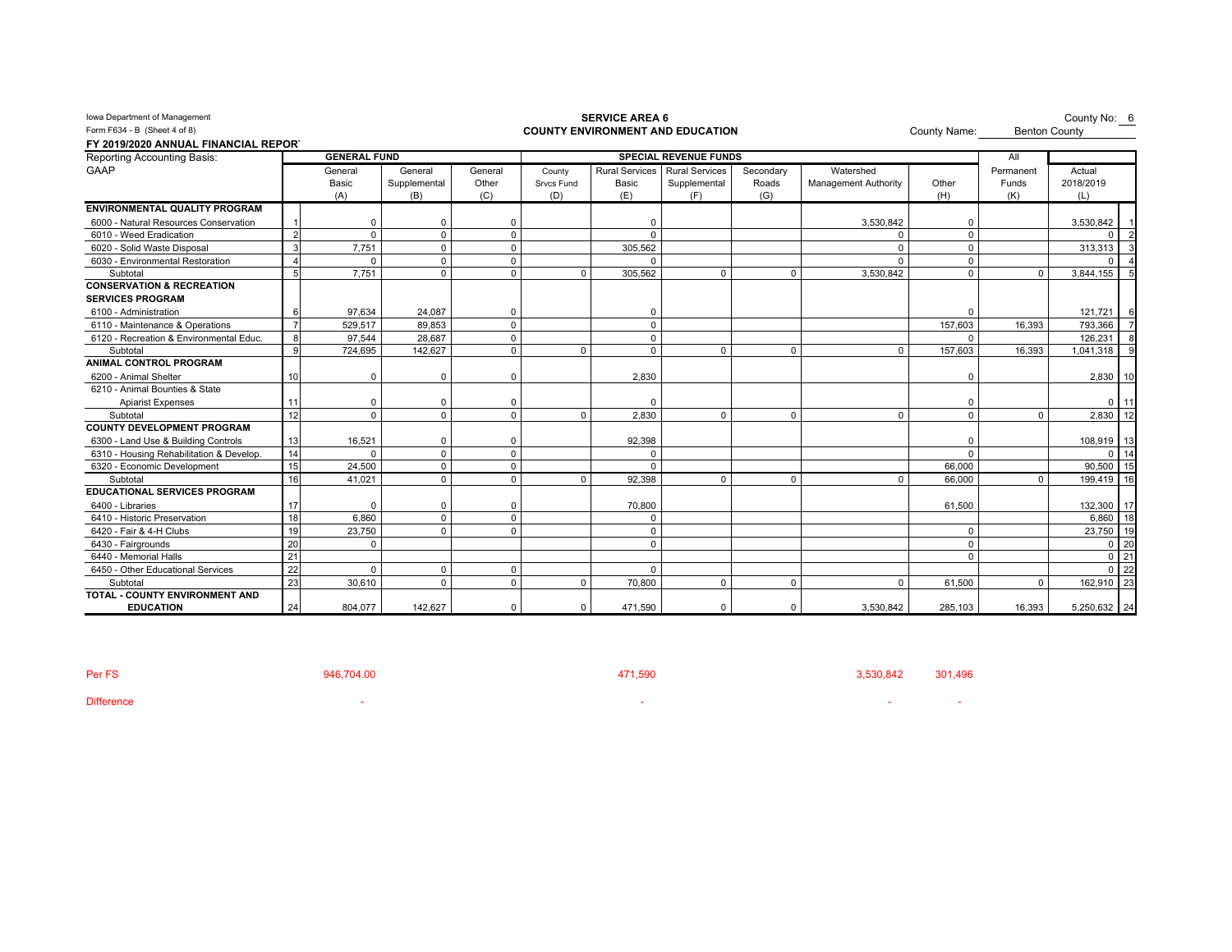| Form F634 - B (Sheet 4 of 8)             |                |                     |              |             |             |                       | <b>COUNTY ENVIRONMENT AND EDUCATION</b> |              | County Name:                | <b>Benton County</b> |           |                 |
|------------------------------------------|----------------|---------------------|--------------|-------------|-------------|-----------------------|-----------------------------------------|--------------|-----------------------------|----------------------|-----------|-----------------|
| FY 2019/2020 ANNUAL FINANCIAL REPORT     |                |                     |              |             |             |                       |                                         |              |                             |                      |           |                 |
| <b>Reporting Accounting Basis:</b>       |                | <b>GENERAL FUND</b> |              |             |             |                       | <b>SPECIAL REVENUE FUNDS</b>            |              |                             |                      | All       |                 |
| <b>GAAP</b>                              |                | General             | General      | General     | County      | <b>Rural Services</b> | <b>Rural Services</b>                   | Secondary    | Watershed                   |                      | Permanent | Actual          |
|                                          |                | Basic               | Supplemental | Other       | Srvcs Fund  | Basic                 | Supplemental                            | Roads        | <b>Management Authority</b> | Other                | Funds     | 2018/2019       |
|                                          |                | (A)                 | (B)          | (C)         | (D)         | (E)                   | (F)                                     | (G)          |                             | (H)                  | (K)       | (L)             |
| ENVIRONMENTAL QUALITY PROGRAM            |                |                     |              |             |             |                       |                                         |              |                             |                      |           |                 |
| 6000 - Natural Resources Conservation    |                | $\Omega$            | $\Omega$     | 0           |             | 0                     |                                         |              | 3,530,842                   | <sup>0</sup>         |           | 3,530,842       |
| 6010 - Weed Eradication                  | $\mathcal{P}$  | $\Omega$            | $\Omega$     | $\mathbf 0$ |             | $\Omega$              |                                         |              |                             | $\Omega$             |           |                 |
| 6020 - Solid Waste Disposal              | 3              | 7,751               | $\Omega$     | $\Omega$    |             | 305,562               |                                         |              | U                           | $\Omega$             |           | 313,313         |
| 6030 - Environmental Restoration         |                | $\Omega$            | $\Omega$     | $\Omega$    |             | $\Omega$              |                                         |              | $\Omega$                    | $\Omega$             |           | $\Omega$        |
| Subtotal                                 | 5              | 7.751               | $\Omega$     | $\mathbf 0$ | $\mathbf 0$ | 305.562               | $\mathbf 0$                             | $\mathbf 0$  | 3,530,842                   | $\Omega$             | $\Omega$  | 3.844.155       |
| <b>CONSERVATION &amp; RECREATION</b>     |                |                     |              |             |             |                       |                                         |              |                             |                      |           |                 |
| <b>SERVICES PROGRAM</b>                  |                |                     |              |             |             |                       |                                         |              |                             |                      |           |                 |
| 6100 - Administration                    |                | 97.634              | 24,087       | $\mathbf 0$ |             | 0                     |                                         |              |                             |                      |           | 121,721<br>6    |
| 6110 - Maintenance & Operations          | $\overline{7}$ | 529,517             | 89,853       | $\mathbf 0$ |             | $\mathbf 0$           |                                         |              |                             | 157,603              | 16,393    | 793,366         |
| 6120 - Recreation & Environmental Educ.  | 8              | 97.544              | 28.687       | $\mathbf 0$ |             | $\mathbf 0$           |                                         |              |                             | $\Omega$             |           | 126.231         |
| Subtotal                                 | 9              | 724,695             | 142,627      | $\mathbf 0$ | $\mathbf 0$ | $\mathbf 0$           | $\mathbf{0}$                            | $\mathbf{0}$ | $\mathbf 0$                 | 157,603              | 16,393    | 1,041,318       |
| <b>ANIMAL CONTROL PROGRAM</b>            |                |                     |              |             |             |                       |                                         |              |                             |                      |           |                 |
| 6200 - Animal Shelter                    | 10             | $\Omega$            | $\Omega$     | $\Omega$    |             | 2,830                 |                                         |              |                             | <sup>0</sup>         |           | 2,830 10        |
| 6210 - Animal Bounties & State           |                |                     |              |             |             |                       |                                         |              |                             |                      |           |                 |
| <b>Apiarist Expenses</b>                 |                | $\Omega$            | $\Omega$     | $\Omega$    |             | $\Omega$              |                                         |              |                             |                      |           | $0$ 11          |
| Subtotal                                 | 12             | $\Omega$            | $\Omega$     | $\mathbf 0$ | $\mathbf 0$ | 2.830                 | $\mathbf 0$                             | $\mathbf{0}$ | $\Omega$                    | $\Omega$             | $\Omega$  | 2,830 12        |
| <b>COUNTY DEVELOPMENT PROGRAM</b>        |                |                     |              |             |             |                       |                                         |              |                             |                      |           |                 |
| 6300 - Land Use & Building Controls      | 13             | 16,521              | $\Omega$     | $\Omega$    |             | 92,398                |                                         |              |                             |                      |           | 108,919 13      |
| 6310 - Housing Rehabilitation & Develop. | 14             | $\Omega$            | $\Omega$     | $\mathbf 0$ |             | $\Omega$              |                                         |              |                             | $\Omega$             |           | $0$ 14          |
| 6320 - Economic Development              | 15             | 24,500              | $\Omega$     | $\mathbf 0$ |             | $\Omega$              |                                         |              |                             | 66,000               |           | 90,500 15       |
| Subtotal                                 | 16             | 41,021              | $\Omega$     | $\mathbf 0$ | 0           | 92,398                | $\mathbf{0}$                            | $\mathbf 0$  | $\Omega$                    | 66,000               |           | 199,419 16      |
| <b>EDUCATIONAL SERVICES PROGRAM</b>      |                |                     |              |             |             |                       |                                         |              |                             |                      |           |                 |
| 6400 - Libraries                         | 17             |                     | $\Omega$     | $\mathbf 0$ |             | 70,800                |                                         |              |                             | 61,500               |           | 132,300 17      |
| 6410 - Historic Preservation             | 18             | 6.860               | $\Omega$     | $\Omega$    |             | $\Omega$              |                                         |              |                             |                      |           | 6.860<br>18     |
| 6420 - Fair & 4-H Clubs                  | 19             | 23.750              | $\Omega$     | $\Omega$    |             | $\Omega$              |                                         |              |                             | $\Omega$             |           | 23,750          |
| 6430 - Fairgrounds                       | 20             | $\Omega$            |              |             |             | $\mathbf 0$           |                                         |              |                             | $\Omega$             |           | 0 <sub>20</sub> |
| 6440 - Memorial Halls                    | 21             |                     |              |             |             |                       |                                         |              |                             | $\Omega$             |           | $0 \mid 21$     |
| 6450 - Other Educational Services        | 22             | $\Omega$            | $\Omega$     | $\mathbf 0$ |             | $\Omega$              |                                         |              |                             |                      |           | 0 <sub>22</sub> |
| Subtotal                                 | 23             | 30,610              | $\Omega$     | $\mathbf 0$ | $\mathbf 0$ | 70,800                | $\mathbf 0$                             | $\Omega$     | $\Omega$                    | 61,500               |           | 162,910 23      |
| TOTAL - COUNTY ENVIRONMENT AND           |                |                     |              |             |             |                       |                                         |              |                             |                      |           |                 |
| <b>EDUCATION</b>                         | 24             | 804.077             | 142.627      | $\mathbf 0$ | $\mathbf 0$ | 471,590               | $\mathbf 0$                             | $\mathbf{0}$ | 3.530.842                   | 285.103              | 16.393    | 5,250,632 24    |

Per FS 2001,496 3,530,842 301,496 3,530,842 301,496 Difference and the state of the state of the state of the state of the state of the state of the state of the state of the state of the state of the state of the state of the state of the state of the state of the state of

## Iowa Department of Management **SERVICE AREA 6**

County No: 6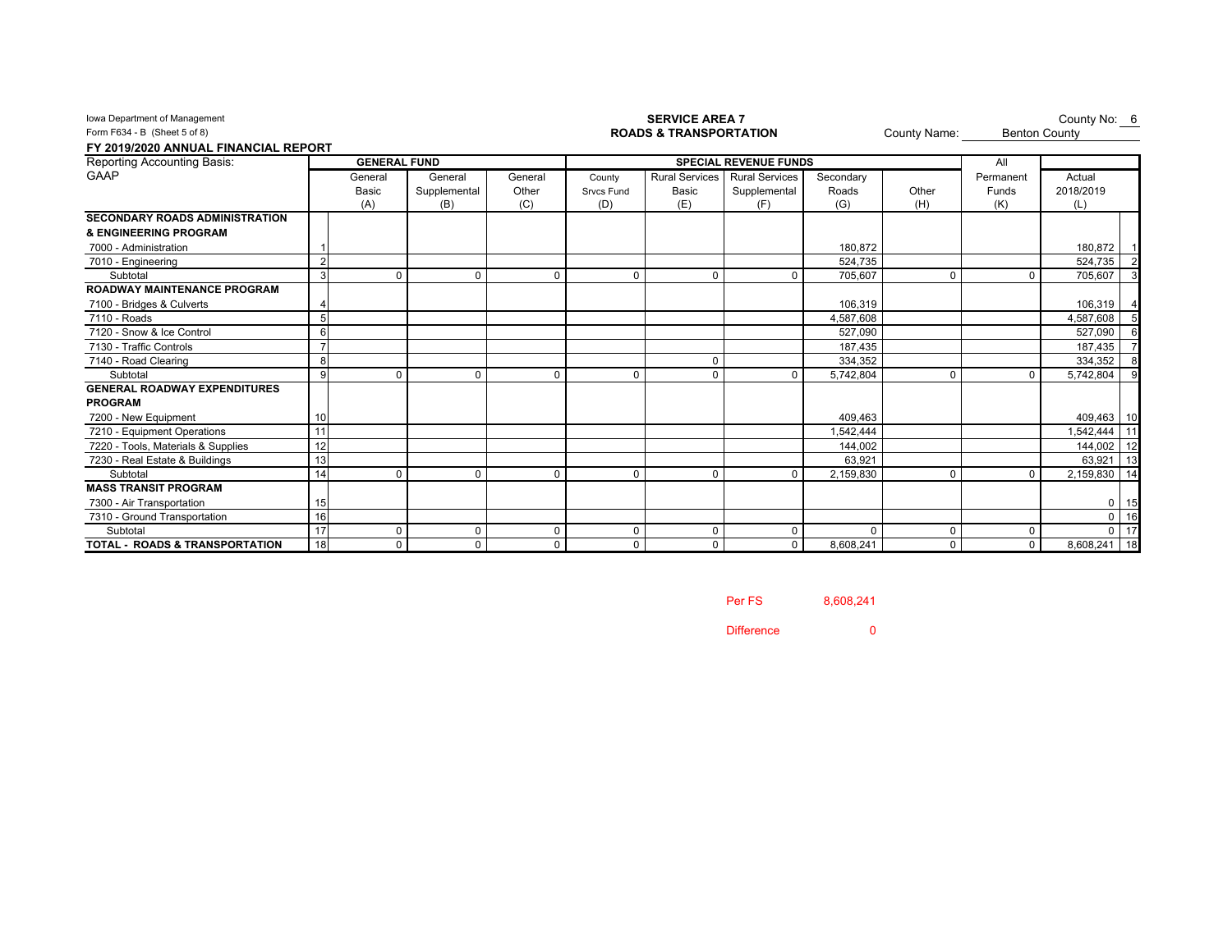| Form F634 - B (Sheet 5 of 8)              |                |                     |              |          |            | <b>ROADS &amp; TRANSPORTATION</b> | County Name:                 |           | <b>Benton County</b> |             |              |        |
|-------------------------------------------|----------------|---------------------|--------------|----------|------------|-----------------------------------|------------------------------|-----------|----------------------|-------------|--------------|--------|
| FY 2019/2020 ANNUAL FINANCIAL REPORT      |                |                     |              |          |            |                                   |                              |           |                      |             |              |        |
| Reporting Accounting Basis:               |                | <b>GENERAL FUND</b> |              |          |            |                                   | <b>SPECIAL REVENUE FUNDS</b> |           |                      | All         |              |        |
| <b>GAAP</b>                               |                | General             | General      | General  | County     | <b>Rural Services</b>             | <b>Rural Services</b>        | Secondary |                      | Permanent   | Actual       |        |
|                                           |                | Basic               | Supplemental | Other    | Srvcs Fund | Basic                             | Supplemental                 | Roads     | Other                | Funds       | 2018/2019    |        |
|                                           |                | (A)                 | (B)          | (C)      | (D)        | (E)                               | (F)                          | (G)       | (H)                  | (K)         | (L)          |        |
| <b>SECONDARY ROADS ADMINISTRATION</b>     |                |                     |              |          |            |                                   |                              |           |                      |             |              |        |
| & ENGINEERING PROGRAM                     |                |                     |              |          |            |                                   |                              |           |                      |             |              |        |
| 7000 - Administration                     |                |                     |              |          |            |                                   |                              | 180.872   |                      |             | 180,872 1    |        |
| 7010 - Engineering                        | $\mathfrak{p}$ |                     |              |          |            |                                   |                              | 524,735   |                      |             | 524,735 2    |        |
| Subtotal                                  | 3              | 0                   | 0            | 0        | $\Omega$   | 0                                 | 0                            | 705.607   | 0                    |             | 705,607      |        |
| <b>ROADWAY MAINTENANCE PROGRAM</b>        |                |                     |              |          |            |                                   |                              |           |                      |             |              |        |
| 7100 - Bridges & Culverts                 |                |                     |              |          |            |                                   |                              | 106.319   |                      |             | 106,319 4    |        |
| 7110 - Roads                              | 5              |                     |              |          |            |                                   |                              | 4.587.608 |                      |             | 4,587,608    | - 5    |
| 7120 - Snow & Ice Control                 | 6              |                     |              |          |            |                                   |                              | 527.090   |                      |             | 527,090      |        |
| 7130 - Traffic Controls                   |                |                     |              |          |            |                                   |                              | 187.435   |                      |             | 187.435      |        |
| 7140 - Road Clearing                      | 8              |                     |              |          |            |                                   |                              | 334,352   |                      |             | 334,352      |        |
| Subtotal                                  | 9              | $\Omega$            | $\Omega$     | $\Omega$ | $\Omega$   |                                   | $\Omega$                     | 5,742,804 | $\Omega$             |             | 5,742,804    | - 9    |
| <b>GENERAL ROADWAY EXPENDITURES</b>       |                |                     |              |          |            |                                   |                              |           |                      |             |              |        |
| <b>PROGRAM</b>                            |                |                     |              |          |            |                                   |                              |           |                      |             |              |        |
| 7200 - New Equipment                      |                |                     |              |          |            |                                   |                              | 409,463   |                      |             | 409,463 10   |        |
| 7210 - Equipment Operations               |                |                     |              |          |            |                                   |                              | .542,444  |                      |             | 1,542,444 11 |        |
| 7220 - Tools, Materials & Supplies        | 12             |                     |              |          |            |                                   |                              | 144,002   |                      |             | 144,002 12   |        |
| 7230 - Real Estate & Buildings            | 13             |                     |              |          |            |                                   |                              | 63.921    |                      |             | 63,921 13    |        |
| Subtotal                                  | 14             | $\Omega$            | 0            | $\Omega$ | $\Omega$   |                                   | $\Omega$                     | 2,159,830 | $\Omega$             |             | 2,159,830 14 |        |
| <b>MASS TRANSIT PROGRAM</b>               |                |                     |              |          |            |                                   |                              |           |                      |             |              |        |
| 7300 - Air Transportation                 | 15             |                     |              |          |            |                                   |                              |           |                      |             |              | $0$ 15 |
| 7310 - Ground Transportation              | 16             |                     |              |          |            |                                   |                              |           |                      |             |              | $0$ 16 |
| Subtotal                                  | 17             | 0                   | $\Omega$     | 0        | $\Omega$   | 0                                 | 0                            |           | $\Omega$             |             |              | $0$ 17 |
| <b>TOTAL - ROADS &amp; TRANSPORTATION</b> | 18             | $\mathbf 0$         | $\mathbf 0$  | 0        | $\Omega$   |                                   | $\mathbf 0$                  | 8.608.241 | $\mathbf 0$          | $\mathbf 0$ | 8,608,241 18 |        |

## **Iowa Department of Management SERVICE AREA 7 SERVICE AREA 7**

County No:  $6$ 

Per FS 8,608,241

Difference 0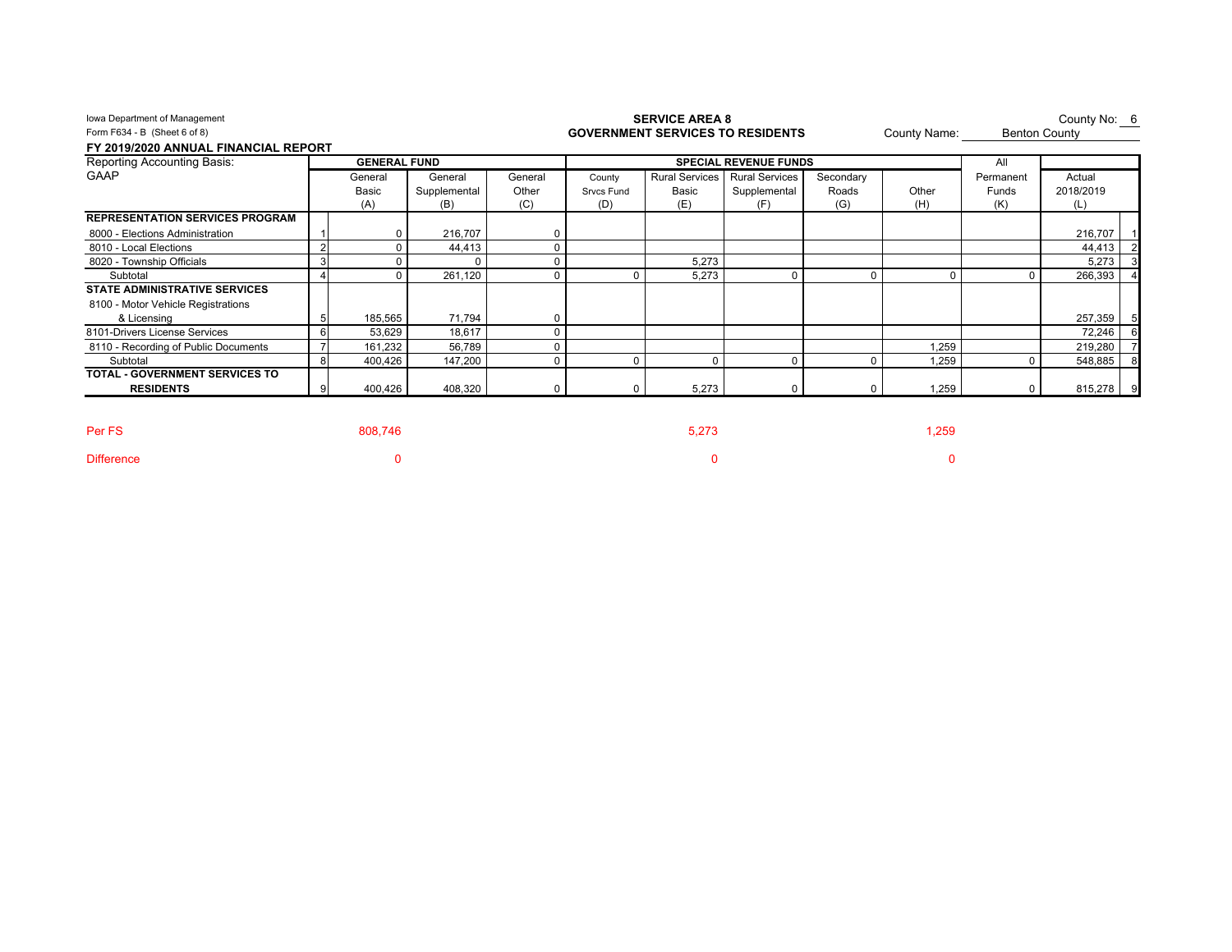| Iowa Department of Management          |                     |              |          |            | <b>SERVICE AREA 8</b>                   |                              |           |              |           | County No: 6         |
|----------------------------------------|---------------------|--------------|----------|------------|-----------------------------------------|------------------------------|-----------|--------------|-----------|----------------------|
| Form F634 - B (Sheet 6 of 8)           |                     |              |          |            | <b>GOVERNMENT SERVICES TO RESIDENTS</b> |                              |           | County Name: |           | <b>Benton County</b> |
| FY 2019/2020 ANNUAL FINANCIAL REPORT   |                     |              |          |            |                                         |                              |           |              |           |                      |
| Reporting Accounting Basis:            | <b>GENERAL FUND</b> |              |          |            |                                         | <b>SPECIAL REVENUE FUNDS</b> |           |              | All       |                      |
| <b>GAAP</b>                            | General             | General      | General  | County     | <b>Rural Services</b>                   | <b>Rural Services</b>        | Secondary |              | Permanent | Actual               |
|                                        | Basic               | Supplemental | Other    | Srvcs Fund | Basic                                   | Supplemental                 | Roads     | Other        | Funds     | 2018/2019            |
|                                        | (A)                 | (B)          | (C)      | (D)        | (E)                                     | (F)                          | (G)       | (H)          | (K)       | (L)                  |
| <b>REPRESENTATION SERVICES PROGRAM</b> |                     |              |          |            |                                         |                              |           |              |           |                      |
| 8000 - Elections Administration        |                     | 216,707      |          |            |                                         |                              |           |              |           | 216,707              |
| 8010 - Local Elections                 |                     | 44,413       |          |            |                                         |                              |           |              |           | 44,413               |
| 8020 - Township Officials              |                     |              |          |            | 5,273                                   |                              |           |              |           | 5,273                |
| Subtotal                               |                     | 261,120      | $\Omega$ |            | 5.273                                   | $\mathbf 0$                  |           | $\Omega$     | O         | 266,393              |
| <b>STATE ADMINISTRATIVE SERVICES</b>   |                     |              |          |            |                                         |                              |           |              |           |                      |
| 8100 - Motor Vehicle Registrations     |                     |              |          |            |                                         |                              |           |              |           |                      |
| & Licensing                            | 185,565             | 71,794       |          |            |                                         |                              |           |              |           | 257,359              |
| 8101-Drivers License Services          | 53,629              | 18,617       |          |            |                                         |                              |           |              |           | 72,246               |
| 8110 - Recording of Public Documents   | 161,232             | 56,789       |          |            |                                         |                              |           | 1,259        |           | 219,280              |
| Subtotal                               | 400,426             | 147,200      | $\Omega$ |            | $\Omega$                                | $\Omega$                     |           | 1,259        |           | 548,885              |
| <b>TOTAL - GOVERNMENT SERVICES TO</b>  |                     |              |          |            |                                         |                              |           |              |           |                      |
| <b>RESIDENTS</b>                       | 400,426             | 408,320      | $\Omega$ |            | 5,273                                   | 0                            |           | 1,259        | $\Omega$  | 815,278 9            |

1,259 1,259 1,259 1,259 1,259 1,259 1,259 1,259 1,259 1,259 1,259 1,259 1,259 1,259 1,259 1,259 1,259 1,259 1,

Difference 0 0 0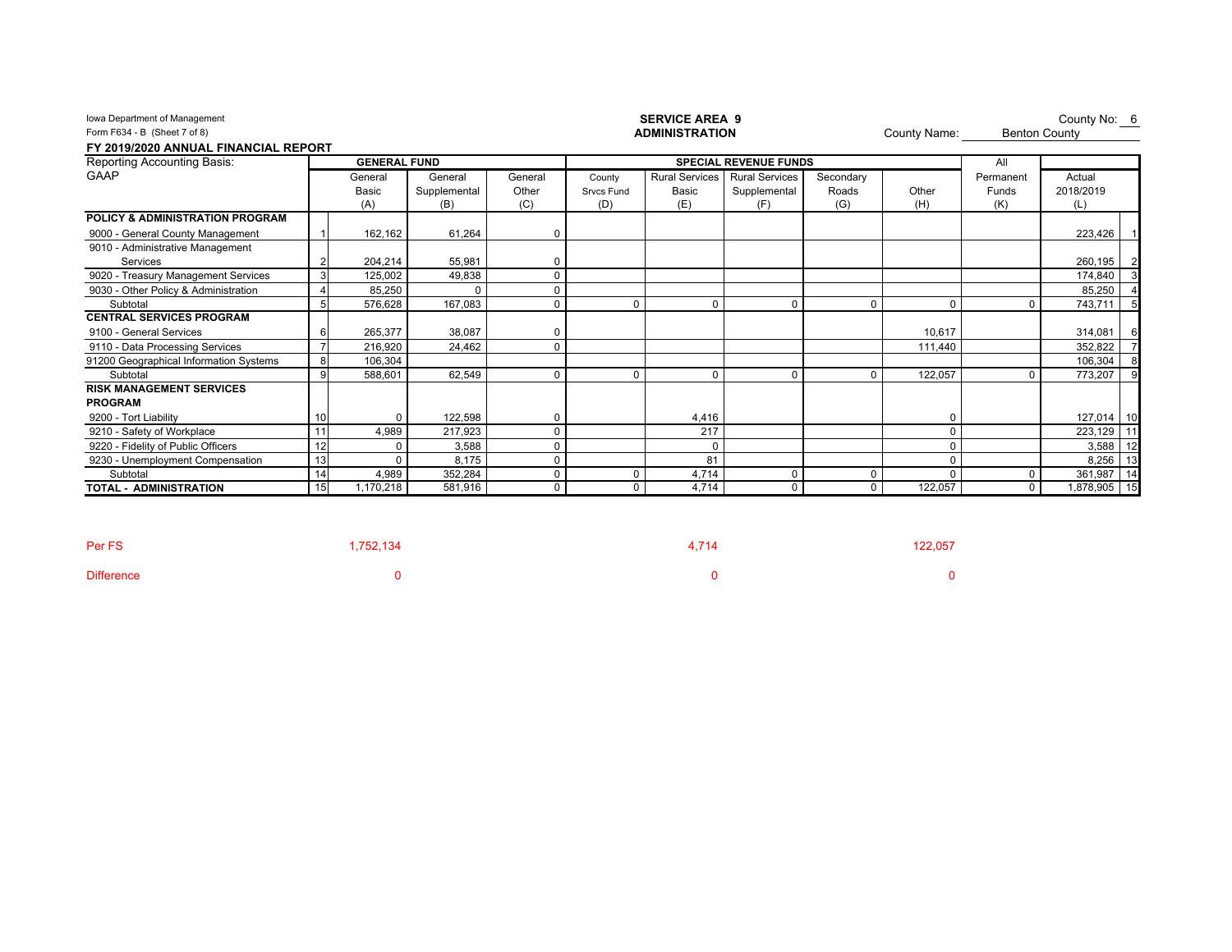| Iowa Department of Management<br>Form F634 - B (Sheet 7 of 8)<br>FY 2019/2020 ANNUAL FINANCIAL REPORT |    |                     |              |          |                   | <b>SERVICE AREA 9</b><br><b>ADMINISTRATION</b> |                              |           | County Name: | <b>Benton County</b> | County No: 6    |
|-------------------------------------------------------------------------------------------------------|----|---------------------|--------------|----------|-------------------|------------------------------------------------|------------------------------|-----------|--------------|----------------------|-----------------|
| Reporting Accounting Basis:                                                                           |    | <b>GENERAL FUND</b> |              |          |                   |                                                | <b>SPECIAL REVENUE FUNDS</b> |           |              | All                  |                 |
| GAAP                                                                                                  |    | General             | General      | General  | County            | <b>Rural Services</b>                          | <b>Rural Services</b>        | Secondary |              | Permanent            | Actual          |
|                                                                                                       |    | <b>Basic</b>        | Supplemental | Other    | <b>Srvcs Fund</b> | Basic                                          | Supplemental                 | Roads     | Other        | Funds                | 2018/2019       |
|                                                                                                       |    | (A)                 | (B)          | (C)      | (D)               | (E)                                            | (F)                          | (G)       | (H)          | (K)                  | (L)             |
| POLICY & ADMINISTRATION PROGRAM                                                                       |    |                     |              |          |                   |                                                |                              |           |              |                      |                 |
| 9000 - General County Management                                                                      |    | 162,162             | 61,264       | 0        |                   |                                                |                              |           |              |                      | 223,426         |
| 9010 - Administrative Management                                                                      |    |                     |              |          |                   |                                                |                              |           |              |                      |                 |
| Services                                                                                              |    | 204,214             | 55,981       | 0        |                   |                                                |                              |           |              |                      | 260,195<br>2    |
| 9020 - Treasury Management Services                                                                   | 3  | 125,002             | 49,838       | $\Omega$ |                   |                                                |                              |           |              |                      | 174,840         |
| 9030 - Other Policy & Administration                                                                  |    | 85,250              | $\Omega$     | $\Omega$ |                   |                                                |                              |           |              |                      | 85,250          |
| Subtotal                                                                                              | 5  | 576,628             | 167,083      | $\Omega$ |                   | $\sqrt{ }$                                     | $\Omega$                     |           | $\Omega$     |                      | -5<br>743,711   |
| <b>CENTRAL SERVICES PROGRAM</b>                                                                       |    |                     |              |          |                   |                                                |                              |           |              |                      |                 |
| 9100 - General Services                                                                               | 6  | 265,377             | 38,087       | 0        |                   |                                                |                              |           | 10,617       |                      | 314,081<br>6    |
| 9110 - Data Processing Services                                                                       |    | 216,920             | 24,462       | $\Omega$ |                   |                                                |                              |           | 111,440      |                      | 352,822         |
| 91200 Geographical Information Systems                                                                | 8  | 106.304             |              |          |                   |                                                |                              |           |              |                      | 106.304<br>8    |
| Subtotal                                                                                              | 9  | 588,601             | 62,549       | $\Omega$ | $\Omega$          | $\Omega$                                       | $\Omega$                     |           | 122,057      |                      | 773,207         |
| <b>RISK MANAGEMENT SERVICES</b>                                                                       |    |                     |              |          |                   |                                                |                              |           |              |                      |                 |
| <b>PROGRAM</b>                                                                                        |    |                     |              |          |                   |                                                |                              |           |              |                      |                 |
| 9200 - Tort Liability                                                                                 | 10 | $\Omega$            | 122,598      | 0        |                   | 4,416                                          |                              |           | 0            |                      | 127,014<br>10   |
| 9210 - Safety of Workplace                                                                            | 11 | 4,989               | 217,923      | $\Omega$ |                   | 217                                            |                              |           | 0            |                      | 11<br>223,129   |
| 9220 - Fidelity of Public Officers                                                                    | 12 | $\Omega$            | 3,588        | $\Omega$ |                   | $\mathbf 0$                                    |                              |           | 0            |                      | 12<br>3,588     |
| 9230 - Unemployment Compensation                                                                      | 13 |                     | 8,175        | 0        |                   | 81                                             |                              |           | 0            |                      | 8,256<br>13     |
| Subtotal                                                                                              | 14 | 4,989               | 352,284      | $\Omega$ | $\Omega$          | 4,714                                          | 0                            |           | $\Omega$     | U                    | 361,987<br>14   |
| <b>TOTAL - ADMINISTRATION</b>                                                                         | 15 | 1,170,218           | 581,916      | $\Omega$ | $\Omega$          | 4,714                                          | 0                            | $\Omega$  | 122,057      | 0                    | 15<br>1,878,905 |

| Per FS            | 1,752,134 | 4.714 | 122,057 |
|-------------------|-----------|-------|---------|
| <b>Difference</b> |           |       |         |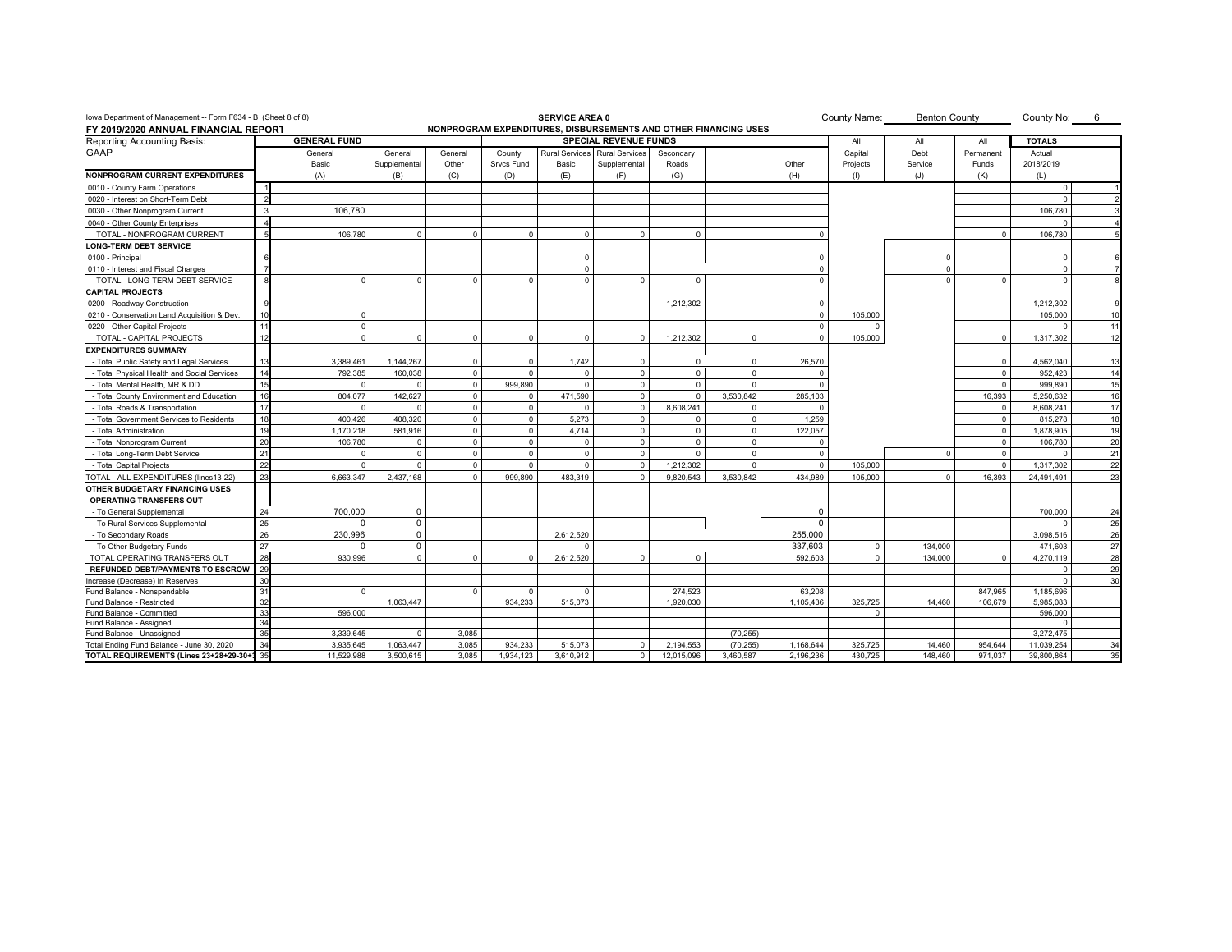| lowa Department of Management -- Form F634 - B (Sheet 8 of 8)<br>County Name:<br><b>SERVICE AREA 0</b><br><b>Benton County</b><br>County No:<br>$6\overline{6}$<br>NONPROGRAM EXPENDITURES, DISBURSEMENTS AND OTHER FINANCING USES |    |                     |              |              |              |                       |                              |              |              |             |                    |              |                |               |    |
|------------------------------------------------------------------------------------------------------------------------------------------------------------------------------------------------------------------------------------|----|---------------------|--------------|--------------|--------------|-----------------------|------------------------------|--------------|--------------|-------------|--------------------|--------------|----------------|---------------|----|
| FY 2019/2020 ANNUAL FINANCIAL REPORT                                                                                                                                                                                               |    |                     |              |              |              |                       |                              |              |              |             |                    |              |                |               |    |
| Reporting Accounting Basis:                                                                                                                                                                                                        |    | <b>GENERAL FUND</b> |              |              |              |                       | <b>SPECIAL REVENUE FUNDS</b> |              |              |             | All                | All          | All            | <b>TOTALS</b> |    |
| <b>GAAP</b>                                                                                                                                                                                                                        |    | General             | General      | General      | County       | <b>Rural Services</b> | <b>Rural Services</b>        | Secondary    |              |             | Capital            | Debt         | Permanent      | Actual        |    |
|                                                                                                                                                                                                                                    |    | Basic               | Supplemental | Other        | Srvcs Fund   | Basic                 | Supplemental                 | Roads        |              | Other       | Projects           | Service      | Funds          | 2018/2019     |    |
| <b>NONPROGRAM CURRENT EXPENDITURES</b>                                                                                                                                                                                             |    | (A)                 | (B)          | (C)          | (D)          | (E)                   | (F)                          | (G)          |              | (H)         | $\left($ $\right)$ | (J)          | (K)            | (L)           |    |
| 0010 - County Farm Operations                                                                                                                                                                                                      |    |                     |              |              |              |                       |                              |              |              |             |                    |              |                | $\Omega$      |    |
| 0020 - Interest on Short-Term Debt                                                                                                                                                                                                 | 2  |                     |              |              |              |                       |                              |              |              |             |                    |              |                | $\Omega$      |    |
| 0030 - Other Nonprogram Current                                                                                                                                                                                                    | 3  | 106,780             |              |              |              |                       |                              |              |              |             |                    |              |                | 106,780       |    |
| 0040 - Other County Enterprises                                                                                                                                                                                                    |    |                     |              |              |              |                       |                              |              |              |             |                    |              |                | $\Omega$      |    |
| TOTAL - NONPROGRAM CURRENT                                                                                                                                                                                                         |    | 106,780             | $\Omega$     | $\Omega$     | $\Omega$     | $\Omega$              | $\Omega$                     | $\Omega$     |              |             |                    |              | $\Omega$       | 106,780       |    |
| <b>LONG-TERM DEBT SERVICE</b>                                                                                                                                                                                                      |    |                     |              |              |              |                       |                              |              |              |             |                    |              |                |               |    |
| 0100 - Principal                                                                                                                                                                                                                   |    |                     |              |              |              | $\Omega$              |                              |              |              |             |                    | $\Omega$     |                | - 0           |    |
| 0110 - Interest and Fiscal Charges                                                                                                                                                                                                 |    |                     |              |              |              | $\mathbf{0}$          |                              |              |              | $\Omega$    |                    | $\mathbf{0}$ |                | $\Omega$      |    |
| TOTAL - LONG-TERM DEBT SERVICE                                                                                                                                                                                                     |    | $\Omega$            | $\Omega$     | $\Omega$     | $\Omega$     | $\Omega$              | $^{\circ}$                   | $\Omega$     |              | $\Omega$    |                    | $\Omega$     | $\Omega$       | $\Omega$      |    |
| <b>CAPITAL PROJECTS</b>                                                                                                                                                                                                            |    |                     |              |              |              |                       |                              |              |              |             |                    |              |                |               |    |
| 0200 - Roadway Construction                                                                                                                                                                                                        |    |                     |              |              |              |                       |                              | 1,212,302    |              | $\Omega$    |                    |              |                | 1,212,302     |    |
| 0210 - Conservation Land Acquisition & Dev                                                                                                                                                                                         | 10 | $\mathbf 0$         |              |              |              |                       |                              |              |              | $\mathbf 0$ | 105,000            |              |                | 105.000       | 10 |
| 0220 - Other Capital Projects                                                                                                                                                                                                      |    | $\Omega$            |              |              |              |                       |                              |              |              | $\Omega$    | $\Omega$           |              |                | $\Omega$      | 11 |
| TOTAL - CAPITAL PROJECTS                                                                                                                                                                                                           | 12 | $\Omega$            | $\Omega$     | $\mathbf{0}$ | $\mathbf 0$  | $\overline{0}$        | $^{\circ}$                   | 1.212.302    | $\Omega$     | $\Omega$    | 105,000            |              | $^{\circ}$     | 1.317.302     | 12 |
| <b>EXPENDITURES SUMMARY</b>                                                                                                                                                                                                        |    |                     |              |              |              |                       |                              |              |              |             |                    |              |                |               |    |
| - Total Public Safety and Legal Services                                                                                                                                                                                           |    | 3,389,461           | 1,144,267    | $\mathbf 0$  | $^{\circ}$   | 1,742                 | $\overline{0}$               | $\mathbf{0}$ | $^{\circ}$   | 26,570      |                    |              | $\Omega$       | 4,562,040     | 13 |
| - Total Physical Health and Social Services                                                                                                                                                                                        | 14 | 792,385             | 160,038      | $\mathbf{0}$ | $^{\circ}$   | $\Omega$              | $\mathbf 0$                  | $\mathbf{0}$ | $\mathbf{0}$ | $\Omega$    |                    |              | $^{\circ}$     | 952,423       | 14 |
| - Total Mental Health, MR & DD                                                                                                                                                                                                     |    | $\Omega$            |              | $\Omega$     | 999.890      | $\Omega$              | $\mathbf{0}$                 | $\Omega$     | $\Omega$     |             |                    |              | $\Omega$       | 999,890       | 15 |
| - Total County Environment and Education                                                                                                                                                                                           |    | 804,077             | 142,627      | $\Omega$     | $\Omega$     | 471,590               | $\mathbf{0}$                 | $\Omega$     | 3,530,842    | 285,103     |                    |              | 16,393         | 5,250,632     | 16 |
| - Total Roads & Transportation                                                                                                                                                                                                     | 17 | $\Omega$            | $\Omega$     | $\mathbf 0$  | $\mathbf{0}$ | $\Omega$              | $^{\circ}$                   | 8.608.241    | $\mathbf 0$  |             |                    |              | $^{\circ}$     | 8.608.241     | 17 |
| - Total Government Services to Residents                                                                                                                                                                                           | 18 | 400.426             | 408.320      | $\mathbf{0}$ | $\mathbf 0$  | 5.273                 | $\mathbf{0}$                 | $\Omega$     | $\Omega$     | 1.259       |                    |              | $\Omega$       | 815.278       | 18 |
| - Total Administration                                                                                                                                                                                                             | 19 | 1,170,218           | 581,916      | $\mathbf{0}$ | $\mathbf{0}$ | 4,714                 | $^{\circ}$                   | $\Omega$     | $\Omega$     | 122,057     |                    |              | $\overline{0}$ | 1,878,905     | 19 |
| - Total Nonprogram Current                                                                                                                                                                                                         | 20 | 106.780             | $\mathbf 0$  | $\mathbf{0}$ | $\mathbf 0$  | $\overline{0}$        | $^{\circ}$                   | $\Omega$     | $\mathbf{0}$ | $\Omega$    |                    |              | $\overline{0}$ | 106.780       | 20 |
| - Total Long-Term Debt Service                                                                                                                                                                                                     | 21 | $\Omega$            | $\Omega$     | $\mathbf{0}$ | $\mathbf 0$  | $\overline{0}$        | $\mathbf{0}$                 | $\Omega$     | $\Omega$     | $\Omega$    |                    | $\Omega$     | $\overline{0}$ | $\Omega$      | 21 |
| - Total Capital Projects                                                                                                                                                                                                           | 22 | $\Omega$            | $\Omega$     | $\Omega$     | $\Omega$     | $\Omega$              | $\mathbf{0}$                 | 1,212,302    | $\Omega$     | $\Omega$    | 105,000            |              | $\Omega$       | 1,317,302     | 22 |
| TOTAL - ALL EXPENDITURES (lines13-22)                                                                                                                                                                                              | 23 | 6,663,347           | 2,437,168    | $\Omega$     | 999.890      | 483.319               | $\Omega$                     | 9,820,543    | 3.530.842    | 434.989     | 105,000            | $\Omega$     | 16.393         | 24,491,491    | 23 |
| OTHER BUDGETARY FINANCING USES                                                                                                                                                                                                     |    |                     |              |              |              |                       |                              |              |              |             |                    |              |                |               |    |
| <b>OPERATING TRANSFERS OUT</b>                                                                                                                                                                                                     |    |                     |              |              |              |                       |                              |              |              |             |                    |              |                |               |    |
| - To General Supplemental                                                                                                                                                                                                          | 24 | 700.000             | $\mathbf 0$  |              |              |                       |                              |              |              | $\Omega$    |                    |              |                | 700.000       | 24 |
| - To Rural Services Supplemental                                                                                                                                                                                                   | 25 | $\Omega$            | $\mathbf 0$  |              |              |                       |                              |              |              | $\Omega$    |                    |              |                | $\Omega$      | 25 |
| - To Secondary Roads                                                                                                                                                                                                               | 26 | 230,996             | $\mathsf 0$  |              |              | 2,612,520             |                              |              |              | 255,000     |                    |              |                | 3,098,516     | 26 |
| - To Other Budgetary Funds                                                                                                                                                                                                         | 27 | $\Omega$            | $\Omega$     |              |              |                       |                              |              |              | 337,603     | $\Omega$           | 134.000      |                | 471.603       | 27 |
| TOTAL OPERATING TRANSFERS OUT                                                                                                                                                                                                      | 28 | 930,996             | $\mathbf 0$  | $\mathbf 0$  | $^{\circ}$   | 2,612,520             | $^{\circ}$                   | $\Omega$     |              | 592,603     | $\Omega$           | 134,000      | $\overline{0}$ | 4,270,119     | 28 |
| <b>REFUNDED DEBT/PAYMENTS TO ESCROW</b>                                                                                                                                                                                            | 29 |                     |              |              |              |                       |                              |              |              |             |                    |              |                | $\Omega$      | 29 |
| Increase (Decrease) In Reserves                                                                                                                                                                                                    | 30 |                     |              |              |              |                       |                              |              |              |             |                    |              |                | $\Omega$      | 30 |
| Fund Balance - Nonspendable                                                                                                                                                                                                        | 31 | $\Omega$            |              | $\mathbf 0$  | $\mathbf{0}$ | $\overline{0}$        |                              | 274.523      |              | 63.208      |                    |              | 847.965        | 1.185.696     |    |
| Fund Balance - Restricted                                                                                                                                                                                                          | 32 |                     | 1.063.447    |              | 934.233      | 515.073               |                              | 1.920.030    |              | 1.105.436   | 325.725            | 14.460       | 106.679        | 5.985.083     |    |
| Fund Balance - Committed                                                                                                                                                                                                           | 33 | 596,000             |              |              |              |                       |                              |              |              |             | $\Omega$           |              |                | 596,000       |    |
| Fund Balance - Assigned                                                                                                                                                                                                            | 34 |                     |              |              |              |                       |                              |              |              |             |                    |              |                |               |    |
| Fund Balance - Unassigned                                                                                                                                                                                                          | 35 | 3,339,645           | $\Omega$     | 3,085        |              |                       |                              |              | (70, 255)    |             |                    |              |                | 3,272,475     |    |
| Total Ending Fund Balance - June 30, 2020                                                                                                                                                                                          | 34 | 3,935,645           | 1,063,447    | 3,085        | 934,233      | 515,073               | $\mathbf 0$                  | 2,194,553    | (70, 255)    | 1,168,644   | 325,725            | 14,460       | 954.644        | 11,039,254    | 34 |
| TOTAL REQUIREMENTS (Lines 23+28+29-30+3                                                                                                                                                                                            | 35 | 11,529,988          | 3,500,615    | 3,085        | 1,934,123    | 3,610,912             | $\mathbf{0}$                 | 12,015,096   | 3,460,587    | 2,196,236   | 430,725            | 148,460      | 971,037        | 39,800,864    | 35 |